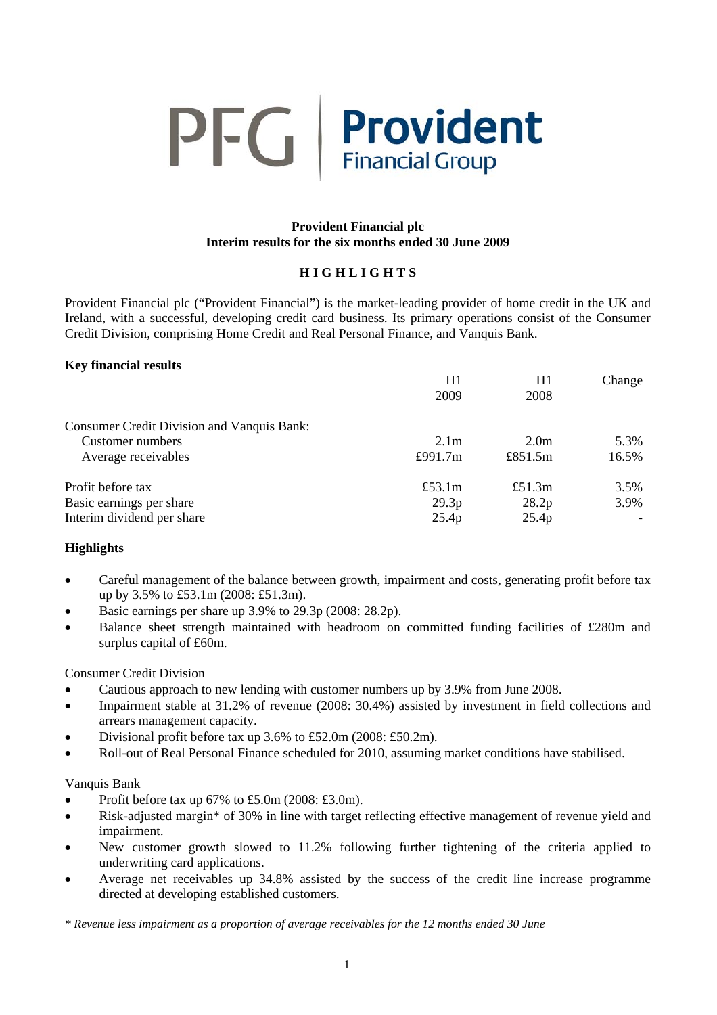# PFG | Provident

# **Provident Financial plc Interim results for the six months ended 30 June 2009**

# **H I G H L I G H T S**

Provident Financial plc ("Provident Financial") is the market-leading provider of home credit in the UK and Ireland, with a successful, developing credit card business. Its primary operations consist of the Consumer Credit Division, comprising Home Credit and Real Personal Finance, and Vanquis Bank.

# **Key financial results**

|                                                   | H1               | H1               | Change |
|---------------------------------------------------|------------------|------------------|--------|
|                                                   | 2009             | 2008             |        |
| <b>Consumer Credit Division and Vanquis Bank:</b> |                  |                  |        |
| Customer numbers                                  | 2.1 <sub>m</sub> | 2.0 <sub>m</sub> | 5.3%   |
| Average receivables                               | £991.7 $m$       | £851.5 $m$       | 16.5%  |
| Profit before tax                                 | £53.1 $m$        | £51.3 $m$        | 3.5%   |
| Basic earnings per share                          | 29.3p            | 28.2p            | 3.9%   |
| Interim dividend per share                        | 25.4p            | 25.4p            |        |

# **Highlights**

- Careful management of the balance between growth, impairment and costs, generating profit before tax up by 3.5% to £53.1m (2008: £51.3m).
- Basic earnings per share up 3.9% to 29.3p (2008: 28.2p).
- Balance sheet strength maintained with headroom on committed funding facilities of £280m and surplus capital of £60m.

# Consumer Credit Division

- Cautious approach to new lending with customer numbers up by 3.9% from June 2008.
- Impairment stable at 31.2% of revenue (2008: 30.4%) assisted by investment in field collections and arrears management capacity.
- Divisional profit before tax up 3.6% to £52.0m (2008: £50.2m).
- Roll-out of Real Personal Finance scheduled for 2010, assuming market conditions have stabilised.

# Vanquis Bank

- Profit before tax up  $67\%$  to £5.0m (2008: £3.0m).
- Risk-adjusted margin\* of 30% in line with target reflecting effective management of revenue yield and impairment.
- New customer growth slowed to 11.2% following further tightening of the criteria applied to underwriting card applications.
- Average net receivables up 34.8% assisted by the success of the credit line increase programme directed at developing established customers.

*\* Revenue less impairment as a proportion of average receivables for the 12 months ended 30 June*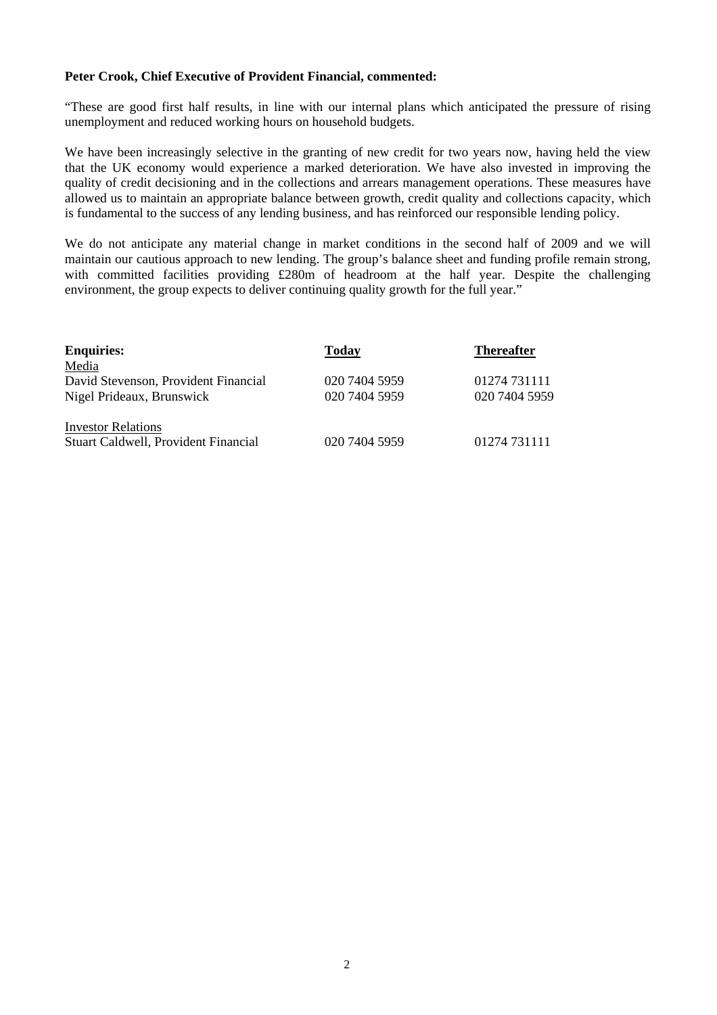# **Peter Crook, Chief Executive of Provident Financial, commented:**

"These are good first half results, in line with our internal plans which anticipated the pressure of rising unemployment and reduced working hours on household budgets.

We have been increasingly selective in the granting of new credit for two years now, having held the view that the UK economy would experience a marked deterioration. We have also invested in improving the quality of credit decisioning and in the collections and arrears management operations. These measures have allowed us to maintain an appropriate balance between growth, credit quality and collections capacity, which is fundamental to the success of any lending business, and has reinforced our responsible lending policy.

We do not anticipate any material change in market conditions in the second half of 2009 and we will maintain our cautious approach to new lending. The group's balance sheet and funding profile remain strong, with committed facilities providing £280m of headroom at the half year. Despite the challenging environment, the group expects to deliver continuing quality growth for the full year."

| <b>Enquiries:</b>                    | Today         | <b>Thereafter</b> |
|--------------------------------------|---------------|-------------------|
| Media                                |               |                   |
| David Stevenson, Provident Financial | 020 7404 5959 | 01274 731111      |
| Nigel Prideaux, Brunswick            | 020 7404 5959 | 020 7404 5959     |
| <b>Investor Relations</b>            |               |                   |
| Stuart Caldwell, Provident Financial | 020 7404 5959 | 01274 731111      |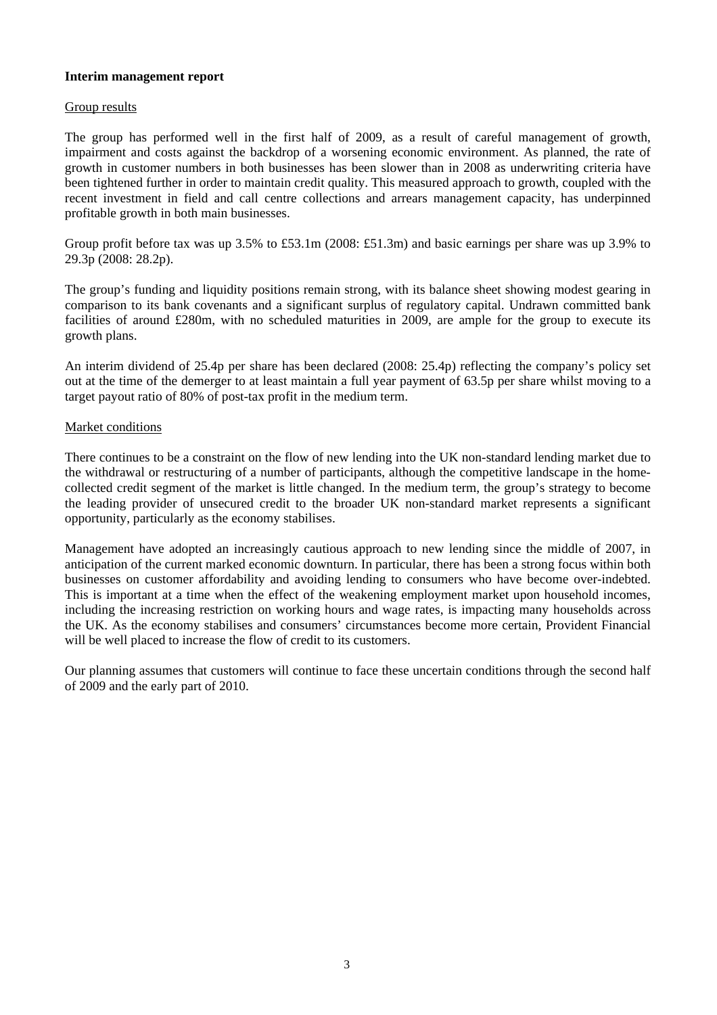# **Interim management report**

#### Group results

The group has performed well in the first half of 2009, as a result of careful management of growth, impairment and costs against the backdrop of a worsening economic environment. As planned, the rate of growth in customer numbers in both businesses has been slower than in 2008 as underwriting criteria have been tightened further in order to maintain credit quality. This measured approach to growth, coupled with the recent investment in field and call centre collections and arrears management capacity, has underpinned profitable growth in both main businesses.

Group profit before tax was up 3.5% to £53.1m (2008: £51.3m) and basic earnings per share was up 3.9% to 29.3p (2008: 28.2p).

The group's funding and liquidity positions remain strong, with its balance sheet showing modest gearing in comparison to its bank covenants and a significant surplus of regulatory capital. Undrawn committed bank facilities of around £280m, with no scheduled maturities in 2009, are ample for the group to execute its growth plans.

An interim dividend of 25.4p per share has been declared (2008: 25.4p) reflecting the company's policy set out at the time of the demerger to at least maintain a full year payment of 63.5p per share whilst moving to a target payout ratio of 80% of post-tax profit in the medium term.

#### Market conditions

There continues to be a constraint on the flow of new lending into the UK non-standard lending market due to the withdrawal or restructuring of a number of participants, although the competitive landscape in the homecollected credit segment of the market is little changed. In the medium term, the group's strategy to become the leading provider of unsecured credit to the broader UK non-standard market represents a significant opportunity, particularly as the economy stabilises.

Management have adopted an increasingly cautious approach to new lending since the middle of 2007, in anticipation of the current marked economic downturn. In particular, there has been a strong focus within both businesses on customer affordability and avoiding lending to consumers who have become over-indebted. This is important at a time when the effect of the weakening employment market upon household incomes, including the increasing restriction on working hours and wage rates, is impacting many households across the UK. As the economy stabilises and consumers' circumstances become more certain, Provident Financial will be well placed to increase the flow of credit to its customers.

Our planning assumes that customers will continue to face these uncertain conditions through the second half of 2009 and the early part of 2010.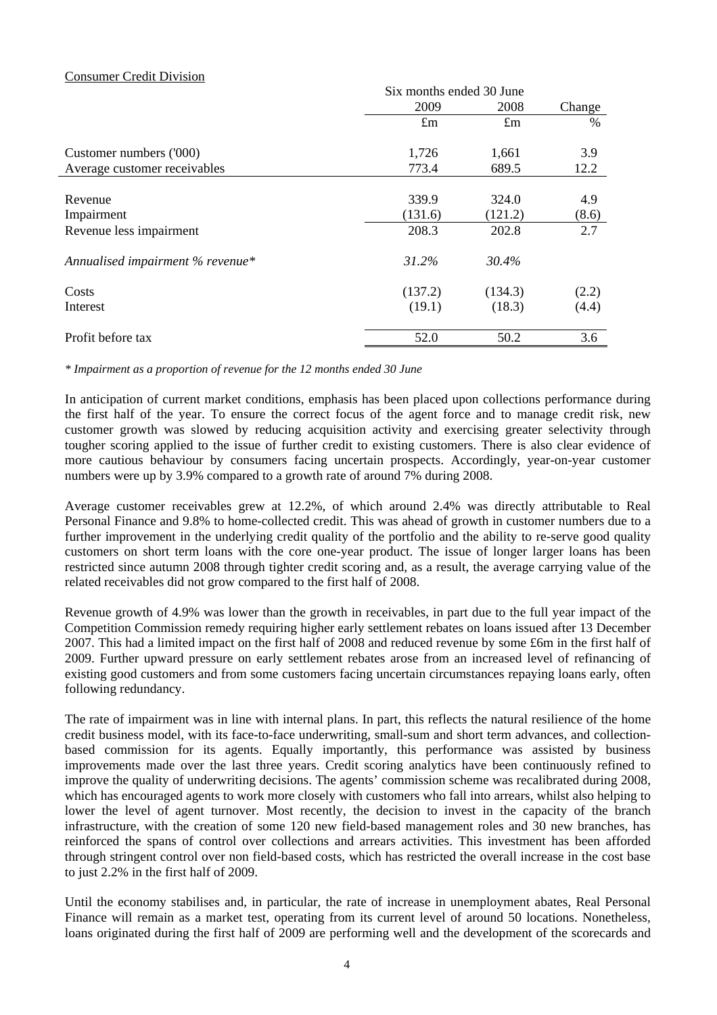# Consumer Credit Division

|                                  | Six months ended 30 June |             |        |
|----------------------------------|--------------------------|-------------|--------|
|                                  | 2009                     | 2008        | Change |
|                                  | $\pounds$ m              | $\pounds$ m | $\%$   |
| Customer numbers ('000)          | 1,726                    | 1,661       | 3.9    |
| Average customer receivables     | 773.4                    | 689.5       | 12.2   |
|                                  |                          |             |        |
| Revenue                          | 339.9                    | 324.0       | 4.9    |
| Impairment                       | (131.6)                  | (121.2)     | (8.6)  |
| Revenue less impairment          | 208.3                    | 202.8       | 2.7    |
| Annualised impairment % revenue* | 31.2%                    | 30.4%       |        |
| Costs                            | (137.2)                  | (134.3)     | (2.2)  |
| Interest                         | (19.1)                   | (18.3)      | (4.4)  |
| Profit before tax                | 52.0                     | 50.2        | 3.6    |

*\* Impairment as a proportion of revenue for the 12 months ended 30 June* 

In anticipation of current market conditions, emphasis has been placed upon collections performance during the first half of the year. To ensure the correct focus of the agent force and to manage credit risk, new customer growth was slowed by reducing acquisition activity and exercising greater selectivity through tougher scoring applied to the issue of further credit to existing customers. There is also clear evidence of more cautious behaviour by consumers facing uncertain prospects. Accordingly, year-on-year customer numbers were up by 3.9% compared to a growth rate of around 7% during 2008.

Average customer receivables grew at 12.2%, of which around 2.4% was directly attributable to Real Personal Finance and 9.8% to home-collected credit. This was ahead of growth in customer numbers due to a further improvement in the underlying credit quality of the portfolio and the ability to re-serve good quality customers on short term loans with the core one-year product. The issue of longer larger loans has been restricted since autumn 2008 through tighter credit scoring and, as a result, the average carrying value of the related receivables did not grow compared to the first half of 2008.

Revenue growth of 4.9% was lower than the growth in receivables, in part due to the full year impact of the Competition Commission remedy requiring higher early settlement rebates on loans issued after 13 December 2007. This had a limited impact on the first half of 2008 and reduced revenue by some £6m in the first half of 2009. Further upward pressure on early settlement rebates arose from an increased level of refinancing of existing good customers and from some customers facing uncertain circumstances repaying loans early, often following redundancy.

The rate of impairment was in line with internal plans. In part, this reflects the natural resilience of the home credit business model, with its face-to-face underwriting, small-sum and short term advances, and collectionbased commission for its agents. Equally importantly, this performance was assisted by business improvements made over the last three years. Credit scoring analytics have been continuously refined to improve the quality of underwriting decisions. The agents' commission scheme was recalibrated during 2008, which has encouraged agents to work more closely with customers who fall into arrears, whilst also helping to lower the level of agent turnover. Most recently, the decision to invest in the capacity of the branch infrastructure, with the creation of some 120 new field-based management roles and 30 new branches, has reinforced the spans of control over collections and arrears activities. This investment has been afforded through stringent control over non field-based costs, which has restricted the overall increase in the cost base to just 2.2% in the first half of 2009.

Until the economy stabilises and, in particular, the rate of increase in unemployment abates, Real Personal Finance will remain as a market test, operating from its current level of around 50 locations. Nonetheless, loans originated during the first half of 2009 are performing well and the development of the scorecards and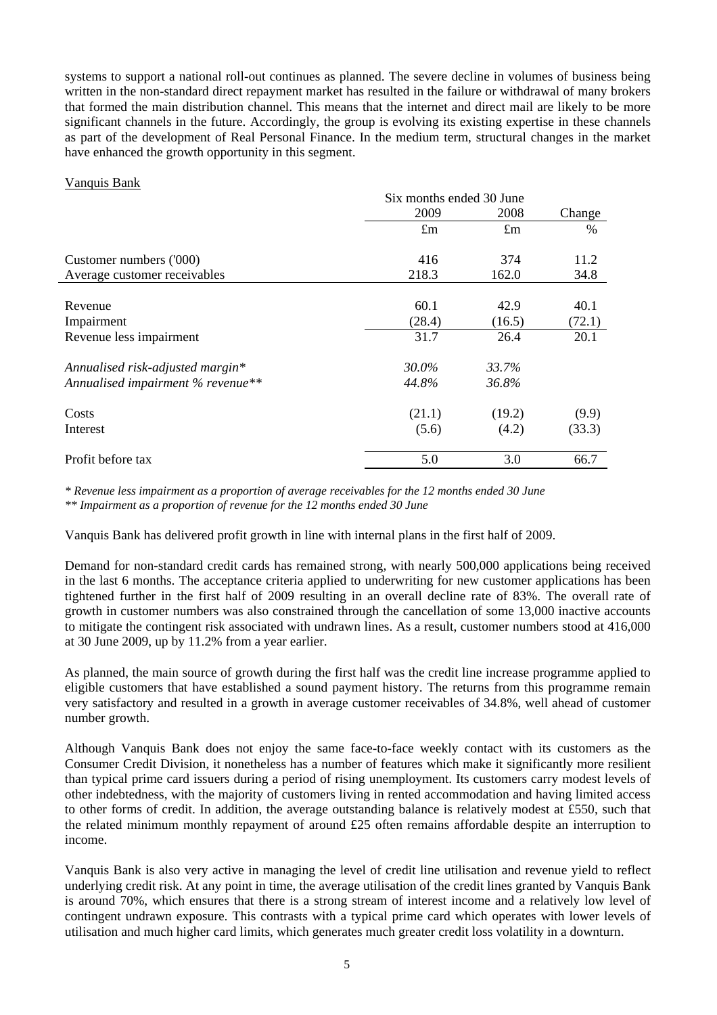systems to support a national roll-out continues as planned. The severe decline in volumes of business being written in the non-standard direct repayment market has resulted in the failure or withdrawal of many brokers that formed the main distribution channel. This means that the internet and direct mail are likely to be more significant channels in the future. Accordingly, the group is evolving its existing expertise in these channels as part of the development of Real Personal Finance. In the medium term, structural changes in the market have enhanced the growth opportunity in this segment.

# Vanquis Bank

|                                   | Six months ended 30 June |             |        |  |
|-----------------------------------|--------------------------|-------------|--------|--|
|                                   | 2009                     | 2008        | Change |  |
|                                   | $\pounds$ m              | $\pounds$ m | $\%$   |  |
| Customer numbers ('000)           | 416                      | 374         | 11.2   |  |
| Average customer receivables      | 218.3                    | 162.0       | 34.8   |  |
| Revenue                           | 60.1                     | 42.9        | 40.1   |  |
| Impairment                        | (28.4)                   | (16.5)      | (72.1) |  |
| Revenue less impairment           | 31.7                     | 26.4        | 20.1   |  |
| Annualised risk-adjusted margin*  | 30.0%                    | 33.7%       |        |  |
| Annualised impairment % revenue** | 44.8%                    | 36.8%       |        |  |
| Costs                             | (21.1)                   | (19.2)      | (9.9)  |  |
| Interest                          | (5.6)                    | (4.2)       | (33.3) |  |
| Profit before tax                 | 5.0                      | 3.0         | 66.7   |  |

*\* Revenue less impairment as a proportion of average receivables for the 12 months ended 30 June* 

*\*\* Impairment as a proportion of revenue for the 12 months ended 30 June* 

Vanquis Bank has delivered profit growth in line with internal plans in the first half of 2009.

Demand for non-standard credit cards has remained strong, with nearly 500,000 applications being received in the last 6 months. The acceptance criteria applied to underwriting for new customer applications has been tightened further in the first half of 2009 resulting in an overall decline rate of 83%. The overall rate of growth in customer numbers was also constrained through the cancellation of some 13,000 inactive accounts to mitigate the contingent risk associated with undrawn lines. As a result, customer numbers stood at 416,000 at 30 June 2009, up by 11.2% from a year earlier.

As planned, the main source of growth during the first half was the credit line increase programme applied to eligible customers that have established a sound payment history. The returns from this programme remain very satisfactory and resulted in a growth in average customer receivables of 34.8%, well ahead of customer number growth.

Although Vanquis Bank does not enjoy the same face-to-face weekly contact with its customers as the Consumer Credit Division, it nonetheless has a number of features which make it significantly more resilient than typical prime card issuers during a period of rising unemployment. Its customers carry modest levels of other indebtedness, with the majority of customers living in rented accommodation and having limited access to other forms of credit. In addition, the average outstanding balance is relatively modest at £550, such that the related minimum monthly repayment of around £25 often remains affordable despite an interruption to income.

Vanquis Bank is also very active in managing the level of credit line utilisation and revenue yield to reflect underlying credit risk. At any point in time, the average utilisation of the credit lines granted by Vanquis Bank is around 70%, which ensures that there is a strong stream of interest income and a relatively low level of contingent undrawn exposure. This contrasts with a typical prime card which operates with lower levels of utilisation and much higher card limits, which generates much greater credit loss volatility in a downturn.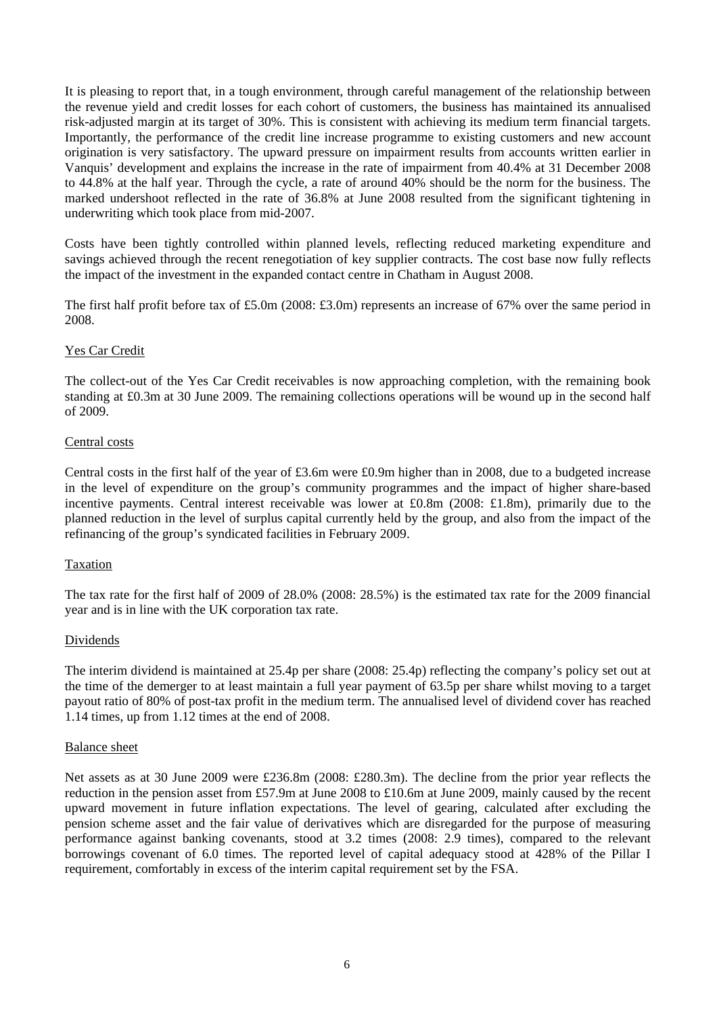It is pleasing to report that, in a tough environment, through careful management of the relationship between the revenue yield and credit losses for each cohort of customers, the business has maintained its annualised risk-adjusted margin at its target of 30%. This is consistent with achieving its medium term financial targets. Importantly, the performance of the credit line increase programme to existing customers and new account origination is very satisfactory. The upward pressure on impairment results from accounts written earlier in Vanquis' development and explains the increase in the rate of impairment from 40.4% at 31 December 2008 to 44.8% at the half year. Through the cycle, a rate of around 40% should be the norm for the business. The marked undershoot reflected in the rate of 36.8% at June 2008 resulted from the significant tightening in underwriting which took place from mid-2007.

Costs have been tightly controlled within planned levels, reflecting reduced marketing expenditure and savings achieved through the recent renegotiation of key supplier contracts. The cost base now fully reflects the impact of the investment in the expanded contact centre in Chatham in August 2008.

The first half profit before tax of £5.0m (2008: £3.0m) represents an increase of 67% over the same period in 2008.

# Yes Car Credit

The collect-out of the Yes Car Credit receivables is now approaching completion, with the remaining book standing at £0.3m at 30 June 2009. The remaining collections operations will be wound up in the second half of 2009.

# Central costs

Central costs in the first half of the year of £3.6m were £0.9m higher than in 2008, due to a budgeted increase in the level of expenditure on the group's community programmes and the impact of higher share-based incentive payments. Central interest receivable was lower at £0.8m (2008: £1.8m), primarily due to the planned reduction in the level of surplus capital currently held by the group, and also from the impact of the refinancing of the group's syndicated facilities in February 2009.

# Taxation

The tax rate for the first half of 2009 of 28.0% (2008: 28.5%) is the estimated tax rate for the 2009 financial year and is in line with the UK corporation tax rate.

# Dividends

The interim dividend is maintained at 25.4p per share (2008: 25.4p) reflecting the company's policy set out at the time of the demerger to at least maintain a full year payment of 63.5p per share whilst moving to a target payout ratio of 80% of post-tax profit in the medium term. The annualised level of dividend cover has reached 1.14 times, up from 1.12 times at the end of 2008.

# Balance sheet

Net assets as at 30 June 2009 were £236.8m (2008: £280.3m). The decline from the prior year reflects the reduction in the pension asset from £57.9m at June 2008 to £10.6m at June 2009, mainly caused by the recent upward movement in future inflation expectations. The level of gearing, calculated after excluding the pension scheme asset and the fair value of derivatives which are disregarded for the purpose of measuring performance against banking covenants, stood at 3.2 times (2008: 2.9 times), compared to the relevant borrowings covenant of 6.0 times. The reported level of capital adequacy stood at 428% of the Pillar I requirement, comfortably in excess of the interim capital requirement set by the FSA.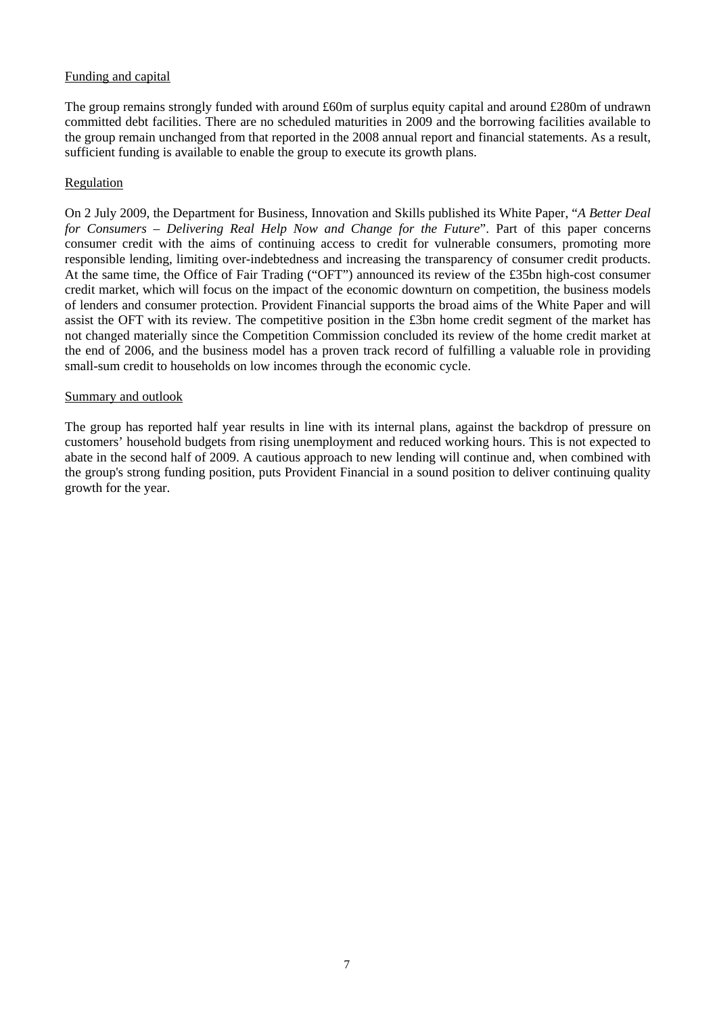# Funding and capital

The group remains strongly funded with around £60m of surplus equity capital and around £280m of undrawn committed debt facilities. There are no scheduled maturities in 2009 and the borrowing facilities available to the group remain unchanged from that reported in the 2008 annual report and financial statements. As a result, sufficient funding is available to enable the group to execute its growth plans.

# Regulation

On 2 July 2009, the Department for Business, Innovation and Skills published its White Paper, "*A Better Deal for Consumers – Delivering Real Help Now and Change for the Future*". Part of this paper concerns consumer credit with the aims of continuing access to credit for vulnerable consumers, promoting more responsible lending, limiting over-indebtedness and increasing the transparency of consumer credit products. At the same time, the Office of Fair Trading ("OFT") announced its review of the £35bn high-cost consumer credit market, which will focus on the impact of the economic downturn on competition, the business models of lenders and consumer protection. Provident Financial supports the broad aims of the White Paper and will assist the OFT with its review. The competitive position in the £3bn home credit segment of the market has not changed materially since the Competition Commission concluded its review of the home credit market at the end of 2006, and the business model has a proven track record of fulfilling a valuable role in providing small-sum credit to households on low incomes through the economic cycle.

# Summary and outlook

The group has reported half year results in line with its internal plans, against the backdrop of pressure on customers' household budgets from rising unemployment and reduced working hours. This is not expected to abate in the second half of 2009. A cautious approach to new lending will continue and, when combined with the group's strong funding position, puts Provident Financial in a sound position to deliver continuing quality growth for the year.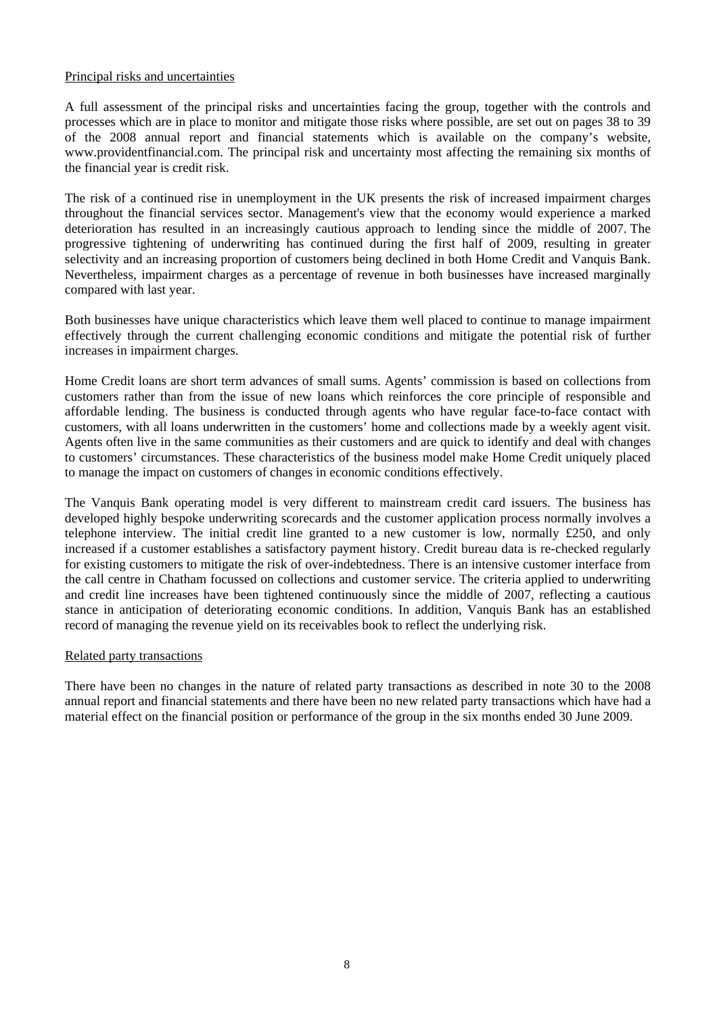#### Principal risks and uncertainties

A full assessment of the principal risks and uncertainties facing the group, together with the controls and processes which are in place to monitor and mitigate those risks where possible, are set out on pages 38 to 39 of the 2008 annual report and financial statements which is available on the company's website, www.providentfinancial.com. The principal risk and uncertainty most affecting the remaining six months of the financial year is credit risk.

The risk of a continued rise in unemployment in the UK presents the risk of increased impairment charges throughout the financial services sector. Management's view that the economy would experience a marked deterioration has resulted in an increasingly cautious approach to lending since the middle of 2007. The progressive tightening of underwriting has continued during the first half of 2009, resulting in greater selectivity and an increasing proportion of customers being declined in both Home Credit and Vanquis Bank. Nevertheless, impairment charges as a percentage of revenue in both businesses have increased marginally compared with last year.

Both businesses have unique characteristics which leave them well placed to continue to manage impairment effectively through the current challenging economic conditions and mitigate the potential risk of further increases in impairment charges.

Home Credit loans are short term advances of small sums. Agents' commission is based on collections from customers rather than from the issue of new loans which reinforces the core principle of responsible and affordable lending. The business is conducted through agents who have regular face-to-face contact with customers, with all loans underwritten in the customers' home and collections made by a weekly agent visit. Agents often live in the same communities as their customers and are quick to identify and deal with changes to customers' circumstances. These characteristics of the business model make Home Credit uniquely placed to manage the impact on customers of changes in economic conditions effectively.

The Vanquis Bank operating model is very different to mainstream credit card issuers. The business has developed highly bespoke underwriting scorecards and the customer application process normally involves a telephone interview. The initial credit line granted to a new customer is low, normally £250, and only increased if a customer establishes a satisfactory payment history. Credit bureau data is re-checked regularly for existing customers to mitigate the risk of over-indebtedness. There is an intensive customer interface from the call centre in Chatham focussed on collections and customer service. The criteria applied to underwriting and credit line increases have been tightened continuously since the middle of 2007, reflecting a cautious stance in anticipation of deteriorating economic conditions. In addition, Vanquis Bank has an established record of managing the revenue yield on its receivables book to reflect the underlying risk.

#### Related party transactions

There have been no changes in the nature of related party transactions as described in note 30 to the 2008 annual report and financial statements and there have been no new related party transactions which have had a material effect on the financial position or performance of the group in the six months ended 30 June 2009.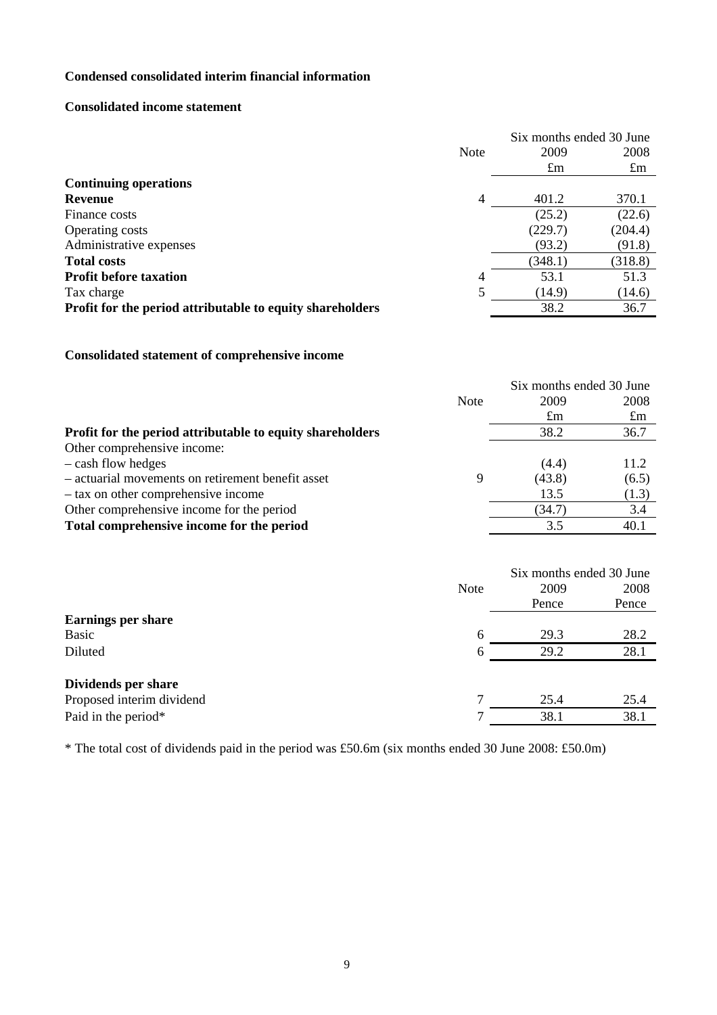# **Condensed consolidated interim financial information**

# **Consolidated income statement**

|                                                           |      | Six months ended 30 June |             |
|-----------------------------------------------------------|------|--------------------------|-------------|
|                                                           | Note | 2009                     | 2008        |
|                                                           |      | $\pounds$ m              | $\pounds$ m |
| <b>Continuing operations</b>                              |      |                          |             |
| <b>Revenue</b>                                            | 4    | 401.2                    | 370.1       |
| Finance costs                                             |      | (25.2)                   | (22.6)      |
| Operating costs                                           |      | (229.7)                  | (204.4)     |
| Administrative expenses                                   |      | (93.2)                   | (91.8)      |
| <b>Total costs</b>                                        |      | (348.1)                  | (318.8)     |
| <b>Profit before taxation</b>                             | 4    | 53.1                     | 51.3        |
| Tax charge                                                |      | (14.9)                   | (14.6)      |
| Profit for the period attributable to equity shareholders |      | 38.2                     | 36.7        |

# **Consolidated statement of comprehensive income**

|                                                           | Six months ended 30 June |             |             |
|-----------------------------------------------------------|--------------------------|-------------|-------------|
|                                                           | <b>Note</b>              | 2009        | 2008        |
|                                                           |                          | $\pounds$ m | $\pounds$ m |
| Profit for the period attributable to equity shareholders |                          | 38.2        | 36.7        |
| Other comprehensive income:                               |                          |             |             |
| - cash flow hedges                                        |                          | (4.4)       | 11.2        |
| - actuarial movements on retirement benefit asset         | 9                        | (43.8)      | (6.5)       |
| - tax on other comprehensive income                       |                          | 13.5        | (1.3)       |
| Other comprehensive income for the period                 |                          | (34.7)      | 3.4         |
| Total comprehensive income for the period                 |                          | 3.5         | 40.1        |

|                           |             | Six months ended 30 June |       |  |
|---------------------------|-------------|--------------------------|-------|--|
|                           | <b>Note</b> | 2009                     | 2008  |  |
|                           |             | Pence                    | Pence |  |
| <b>Earnings per share</b> |             |                          |       |  |
| <b>Basic</b>              | 6           | 29.3                     | 28.2  |  |
| Diluted                   | 6           | 29.2                     | 28.1  |  |
| Dividends per share       |             |                          |       |  |
| Proposed interim dividend |             | 25.4                     | 25.4  |  |
| Paid in the period*       | ┑           | 38.1                     | 38.1  |  |
|                           |             |                          |       |  |

\* The total cost of dividends paid in the period was £50.6m (six months ended 30 June 2008: £50.0m)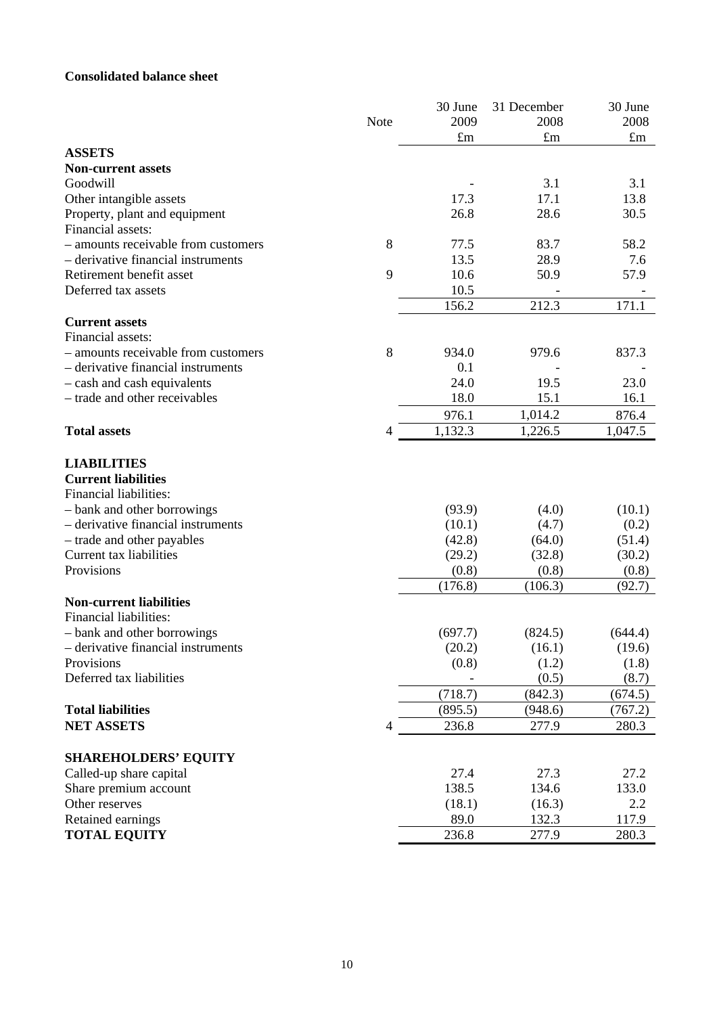# **Consolidated balance sheet**

|                                     |      | 30 June     | 31 December | 30 June     |
|-------------------------------------|------|-------------|-------------|-------------|
|                                     | Note | 2009        | 2008        | 2008        |
|                                     |      | $\pounds$ m | $\pounds$ m | $\pounds$ m |
| <b>ASSETS</b>                       |      |             |             |             |
| <b>Non-current assets</b>           |      |             |             |             |
| Goodwill                            |      |             | 3.1         | 3.1         |
| Other intangible assets             |      | 17.3        | 17.1        | 13.8        |
| Property, plant and equipment       |      | 26.8        | 28.6        | 30.5        |
| Financial assets:                   |      |             |             |             |
| - amounts receivable from customers | 8    | 77.5        | 83.7        | 58.2        |
| - derivative financial instruments  |      | 13.5        | 28.9        | 7.6         |
| Retirement benefit asset            | 9    | 10.6        | 50.9        | 57.9        |
| Deferred tax assets                 |      | 10.5        |             |             |
|                                     |      | 156.2       | 212.3       | 171.1       |
| <b>Current assets</b>               |      |             |             |             |
| Financial assets:                   |      |             |             |             |
| - amounts receivable from customers | 8    | 934.0       | 979.6       | 837.3       |
| - derivative financial instruments  |      | 0.1         |             |             |
| - cash and cash equivalents         |      | 24.0        | 19.5        | 23.0        |
| - trade and other receivables       |      | 18.0        | 15.1        | 16.1        |
|                                     |      | 976.1       | 1,014.2     | 876.4       |
| <b>Total assets</b>                 | 4    | 1,132.3     | 1,226.5     | 1,047.5     |
|                                     |      |             |             |             |
| <b>LIABILITIES</b>                  |      |             |             |             |
| <b>Current liabilities</b>          |      |             |             |             |
| Financial liabilities:              |      |             |             |             |
| - bank and other borrowings         |      | (93.9)      | (4.0)       | (10.1)      |
| - derivative financial instruments  |      | (10.1)      | (4.7)       | (0.2)       |
| - trade and other payables          |      | (42.8)      | (64.0)      | (51.4)      |
| Current tax liabilities             |      | (29.2)      | (32.8)      | (30.2)      |
| Provisions                          |      | (0.8)       | (0.8)       | (0.8)       |
|                                     |      | (176.8)     | (106.3)     | (92.7)      |
| <b>Non-current liabilities</b>      |      |             |             |             |
| Financial liabilities:              |      |             |             |             |
| - bank and other borrowings         |      | (697.7)     | (824.5)     | (644.4)     |
| - derivative financial instruments  |      | (20.2)      | (16.1)      | (19.6)      |
| Provisions                          |      | (0.8)       | (1.2)       | (1.8)       |
| Deferred tax liabilities            |      |             | (0.5)       | (8.7)       |
|                                     |      | (718.7)     | (842.3)     | (674.5)     |
| <b>Total liabilities</b>            |      | (895.5)     | (948.6)     | (767.2)     |
| <b>NET ASSETS</b>                   | 4    | 236.8       | 277.9       | 280.3       |
|                                     |      |             |             |             |
| <b>SHAREHOLDERS' EQUITY</b>         |      |             |             |             |
| Called-up share capital             |      | 27.4        | 27.3        | 27.2        |
| Share premium account               |      | 138.5       | 134.6       | 133.0       |
| Other reserves                      |      | (18.1)      | (16.3)      | 2.2         |
| Retained earnings                   |      | 89.0        | 132.3       | 117.9       |
| <b>TOTAL EQUITY</b>                 |      | 236.8       | 277.9       | 280.3       |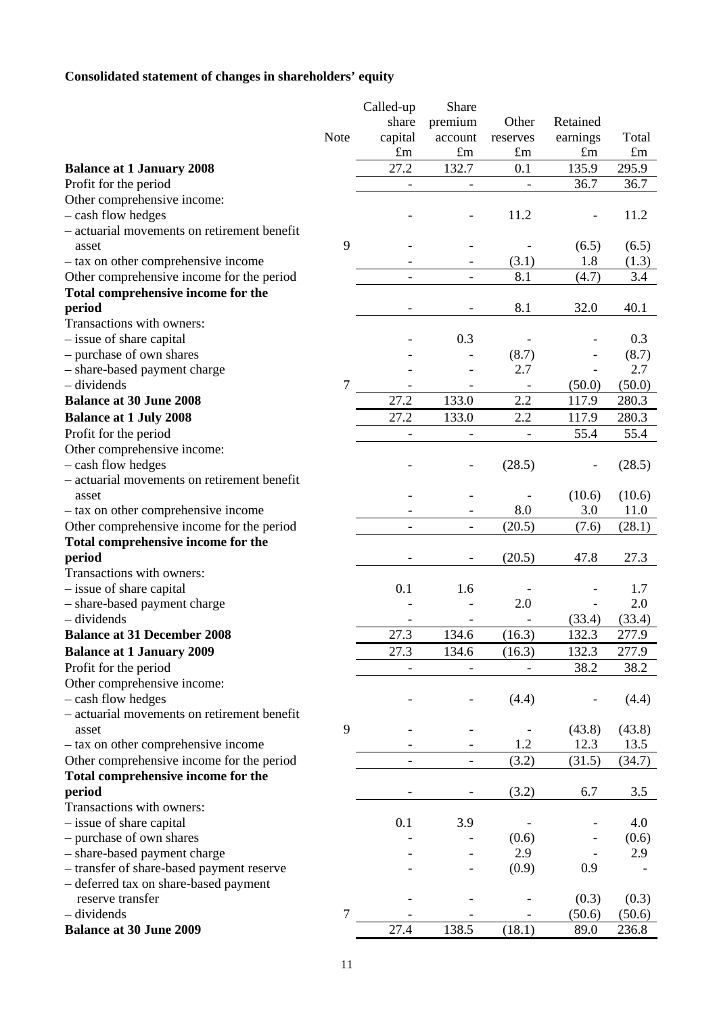# **Consolidated statement of changes in shareholders' equity**

|                                                      |      | Called-up                | Share                        |                          |             |             |
|------------------------------------------------------|------|--------------------------|------------------------------|--------------------------|-------------|-------------|
|                                                      |      | share                    | premium                      | Other                    | Retained    |             |
|                                                      | Note | capital                  | account                      | reserves                 | earnings    | Total       |
|                                                      |      | $\pounds$ m              | $\pounds$ m                  | $\pounds$ m              | $\pounds$ m | $\pounds$ m |
| <b>Balance at 1 January 2008</b>                     |      | 27.2                     | 132.7                        | 0.1                      | 135.9       | 295.9       |
| Profit for the period                                |      | $\overline{\phantom{0}}$ | $\overline{\phantom{0}}$     | $\overline{\phantom{0}}$ | 36.7        | 36.7        |
| Other comprehensive income:                          |      |                          |                              |                          |             |             |
| - cash flow hedges                                   |      |                          |                              | 11.2                     |             | 11.2        |
| - actuarial movements on retirement benefit          |      |                          |                              |                          |             |             |
| asset                                                | 9    |                          | $\overline{\phantom{0}}$     |                          | (6.5)       | (6.5)       |
| - tax on other comprehensive income                  |      |                          |                              | (3.1)                    | 1.8         | (1.3)       |
| Other comprehensive income for the period            |      | $\qquad \qquad -$        | $\overline{\phantom{a}}$     | 8.1                      | (4.7)       | 3.4         |
| Total comprehensive income for the                   |      |                          |                              |                          |             |             |
| period                                               |      |                          |                              | 8.1                      | 32.0        | 40.1        |
| Transactions with owners:                            |      |                          | 0.3                          |                          |             | 0.3         |
| - issue of share capital<br>- purchase of own shares |      |                          |                              | (8.7)                    |             | (8.7)       |
| - share-based payment charge                         |      |                          |                              | 2.7                      |             | 2.7         |
| - dividends                                          | 7    |                          |                              | $\overline{a}$           | (50.0)      | (50.0)      |
| <b>Balance at 30 June 2008</b>                       |      | 27.2                     | 133.0                        | 2.2                      | 117.9       | 280.3       |
| <b>Balance at 1 July 2008</b>                        |      | 27.2                     | 133.0                        | 2.2                      | 117.9       | 280.3       |
| Profit for the period                                |      |                          | $\overline{\phantom{0}}$     | $\overline{\phantom{0}}$ | 55.4        | 55.4        |
| Other comprehensive income:                          |      |                          |                              |                          |             |             |
| - cash flow hedges                                   |      |                          |                              | (28.5)                   |             | (28.5)      |
| - actuarial movements on retirement benefit          |      |                          |                              |                          |             |             |
| asset                                                |      |                          |                              |                          | (10.6)      | (10.6)      |
| - tax on other comprehensive income                  |      |                          |                              | 8.0                      | 3.0         | 11.0        |
| Other comprehensive income for the period            |      |                          | $\overline{\phantom{a}}$     | (20.5)                   | (7.6)       | (28.1)      |
| Total comprehensive income for the                   |      |                          |                              |                          |             |             |
| period                                               |      |                          |                              | (20.5)                   | 47.8        | 27.3        |
| Transactions with owners:                            |      |                          |                              |                          |             |             |
| - issue of share capital                             |      | 0.1                      | 1.6                          |                          |             | 1.7         |
| - share-based payment charge                         |      |                          |                              | 2.0                      |             | 2.0         |
| - dividends                                          |      |                          |                              |                          | (33.4)      | (33.4)      |
| <b>Balance at 31 December 2008</b>                   |      | 27.3                     | 134.6                        | (16.3)                   | 132.3       | 277.9       |
| <b>Balance at 1 January 2009</b>                     |      | 27.3                     | 134.6                        | (16.3)                   | 132.3       | 277.9       |
| Profit for the period                                |      | $\overline{\phantom{a}}$ | $\qquad \qquad \blacksquare$ | $\overline{a}$           | 38.2        | 38.2        |
| Other comprehensive income:                          |      |                          |                              |                          |             |             |
| - cash flow hedges                                   |      |                          |                              | (4.4)                    |             | (4.4)       |
| - actuarial movements on retirement benefit          |      |                          |                              |                          |             |             |
| asset                                                | 9    |                          | $\overline{\phantom{a}}$     |                          | (43.8)      | (43.8)      |
| - tax on other comprehensive income                  |      |                          | $\overline{\phantom{a}}$     | 1.2                      | 12.3        | 13.5        |
| Other comprehensive income for the period            |      |                          | $\overline{\phantom{0}}$     | (3.2)                    | (31.5)      | (34.7)      |
| Total comprehensive income for the                   |      |                          |                              |                          |             |             |
| period<br>Transactions with owners:                  |      |                          | $\overline{\phantom{a}}$     | (3.2)                    | 6.7         | 3.5         |
|                                                      |      | 0.1                      | 3.9                          |                          |             | 4.0         |
| - issue of share capital<br>- purchase of own shares |      |                          |                              | (0.6)                    |             | (0.6)       |
| - share-based payment charge                         |      |                          |                              | 2.9                      |             | 2.9         |
| - transfer of share-based payment reserve            |      |                          |                              | (0.9)                    | 0.9         |             |
| - deferred tax on share-based payment                |      |                          |                              |                          |             |             |
| reserve transfer                                     |      |                          |                              |                          | (0.3)       | (0.3)       |
| - dividends                                          | 7    |                          |                              |                          | (50.6)      | (50.6)      |
| <b>Balance at 30 June 2009</b>                       |      | 27.4                     | 138.5                        | (18.1)                   | 89.0        | 236.8       |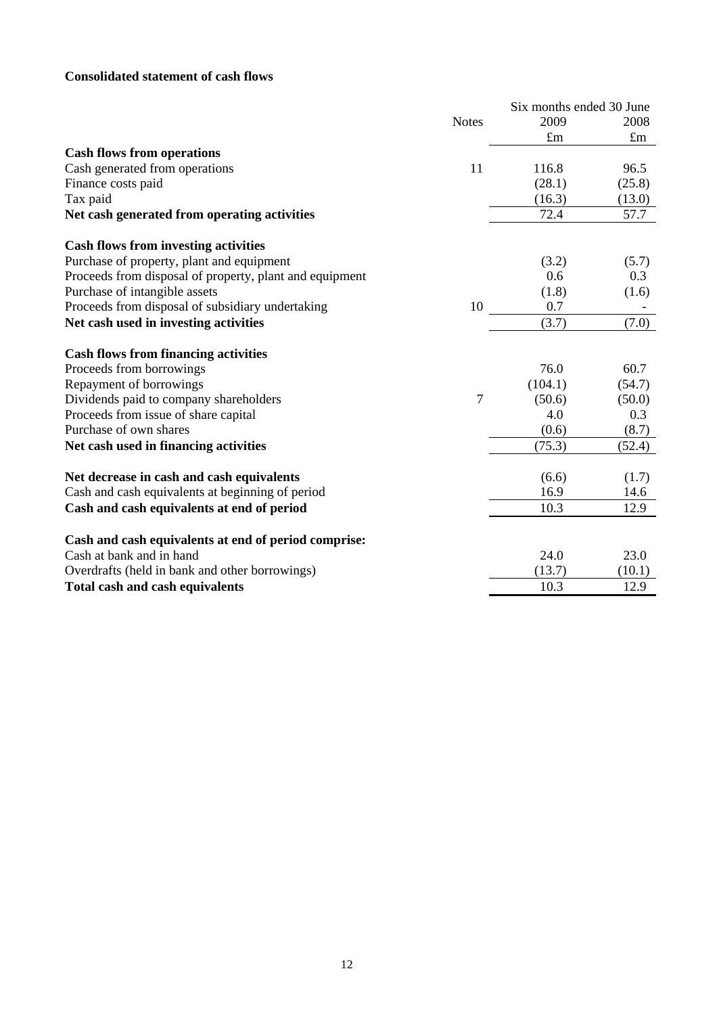# **Consolidated statement of cash flows**

|                                                         |                | Six months ended 30 June |             |  |
|---------------------------------------------------------|----------------|--------------------------|-------------|--|
|                                                         | <b>Notes</b>   | 2009                     | 2008        |  |
|                                                         |                | $\pounds$ m              | $\pounds$ m |  |
| <b>Cash flows from operations</b>                       |                |                          |             |  |
| Cash generated from operations                          | 11             | 116.8                    | 96.5        |  |
| Finance costs paid                                      |                | (28.1)                   | (25.8)      |  |
| Tax paid                                                |                | (16.3)                   | (13.0)      |  |
| Net cash generated from operating activities            |                | 72.4                     | 57.7        |  |
| <b>Cash flows from investing activities</b>             |                |                          |             |  |
| Purchase of property, plant and equipment               |                | (3.2)                    | (5.7)       |  |
| Proceeds from disposal of property, plant and equipment |                | 0.6                      | 0.3         |  |
| Purchase of intangible assets                           |                | (1.8)                    | (1.6)       |  |
| Proceeds from disposal of subsidiary undertaking        | 10             | 0.7                      |             |  |
| Net cash used in investing activities                   |                | (3.7)                    | (7.0)       |  |
| <b>Cash flows from financing activities</b>             |                |                          |             |  |
| Proceeds from borrowings                                |                | 76.0                     | 60.7        |  |
| Repayment of borrowings                                 |                | (104.1)                  | (54.7)      |  |
| Dividends paid to company shareholders                  | $\overline{7}$ | (50.6)                   | (50.0)      |  |
| Proceeds from issue of share capital                    |                | 4.0                      | 0.3         |  |
| Purchase of own shares                                  |                | (0.6)                    | (8.7)       |  |
| Net cash used in financing activities                   |                | (75.3)                   | (52.4)      |  |
| Net decrease in cash and cash equivalents               |                | (6.6)                    | (1.7)       |  |
| Cash and cash equivalents at beginning of period        |                | 16.9                     | 14.6        |  |
| Cash and cash equivalents at end of period              |                | 10.3                     | 12.9        |  |
| Cash and cash equivalents at end of period comprise:    |                |                          |             |  |
| Cash at bank and in hand                                |                | 24.0                     | 23.0        |  |
| Overdrafts (held in bank and other borrowings)          |                | (13.7)                   | (10.1)      |  |
| <b>Total cash and cash equivalents</b>                  |                | 10.3                     | 12.9        |  |
|                                                         |                |                          |             |  |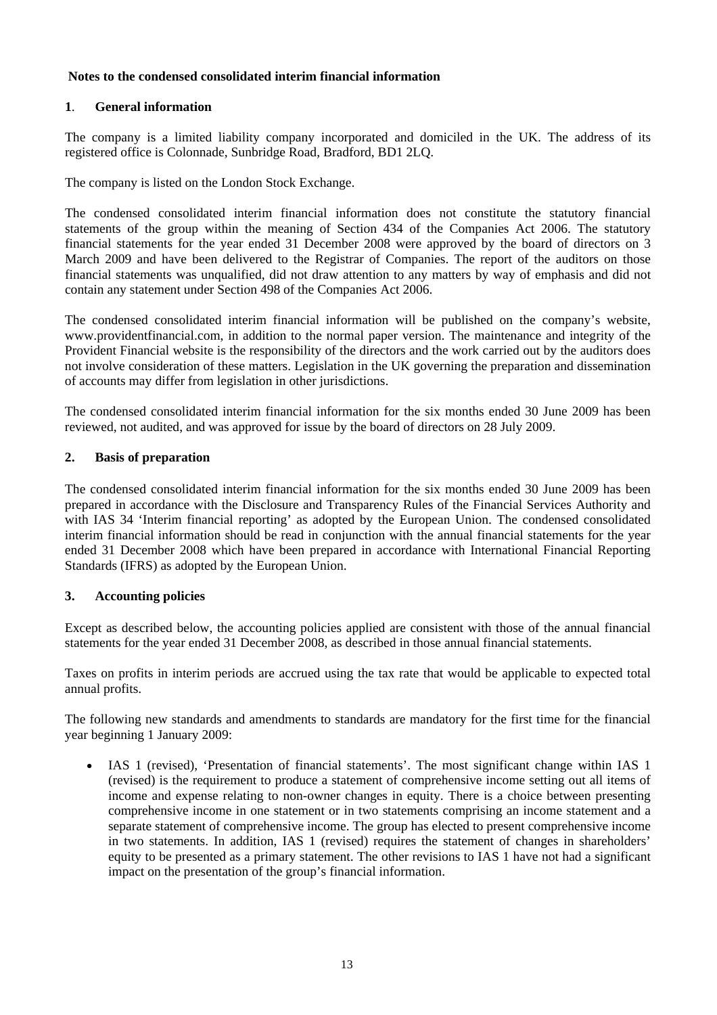# **Notes to the condensed consolidated interim financial information**

# **1**. **General information**

The company is a limited liability company incorporated and domiciled in the UK. The address of its registered office is Colonnade, Sunbridge Road, Bradford, BD1 2LQ.

The company is listed on the London Stock Exchange.

The condensed consolidated interim financial information does not constitute the statutory financial statements of the group within the meaning of Section 434 of the Companies Act 2006. The statutory financial statements for the year ended 31 December 2008 were approved by the board of directors on 3 March 2009 and have been delivered to the Registrar of Companies. The report of the auditors on those financial statements was unqualified, did not draw attention to any matters by way of emphasis and did not contain any statement under Section 498 of the Companies Act 2006.

The condensed consolidated interim financial information will be published on the company's website, www.providentfinancial.com, in addition to the normal paper version. The maintenance and integrity of the Provident Financial website is the responsibility of the directors and the work carried out by the auditors does not involve consideration of these matters. Legislation in the UK governing the preparation and dissemination of accounts may differ from legislation in other jurisdictions.

The condensed consolidated interim financial information for the six months ended 30 June 2009 has been reviewed, not audited, and was approved for issue by the board of directors on 28 July 2009.

# **2. Basis of preparation**

The condensed consolidated interim financial information for the six months ended 30 June 2009 has been prepared in accordance with the Disclosure and Transparency Rules of the Financial Services Authority and with IAS 34 'Interim financial reporting' as adopted by the European Union. The condensed consolidated interim financial information should be read in conjunction with the annual financial statements for the year ended 31 December 2008 which have been prepared in accordance with International Financial Reporting Standards (IFRS) as adopted by the European Union.

# **3. Accounting policies**

Except as described below, the accounting policies applied are consistent with those of the annual financial statements for the year ended 31 December 2008, as described in those annual financial statements.

Taxes on profits in interim periods are accrued using the tax rate that would be applicable to expected total annual profits.

The following new standards and amendments to standards are mandatory for the first time for the financial year beginning 1 January 2009:

• IAS 1 (revised), 'Presentation of financial statements'. The most significant change within IAS 1 (revised) is the requirement to produce a statement of comprehensive income setting out all items of income and expense relating to non-owner changes in equity. There is a choice between presenting comprehensive income in one statement or in two statements comprising an income statement and a separate statement of comprehensive income. The group has elected to present comprehensive income in two statements. In addition, IAS 1 (revised) requires the statement of changes in shareholders' equity to be presented as a primary statement. The other revisions to IAS 1 have not had a significant impact on the presentation of the group's financial information.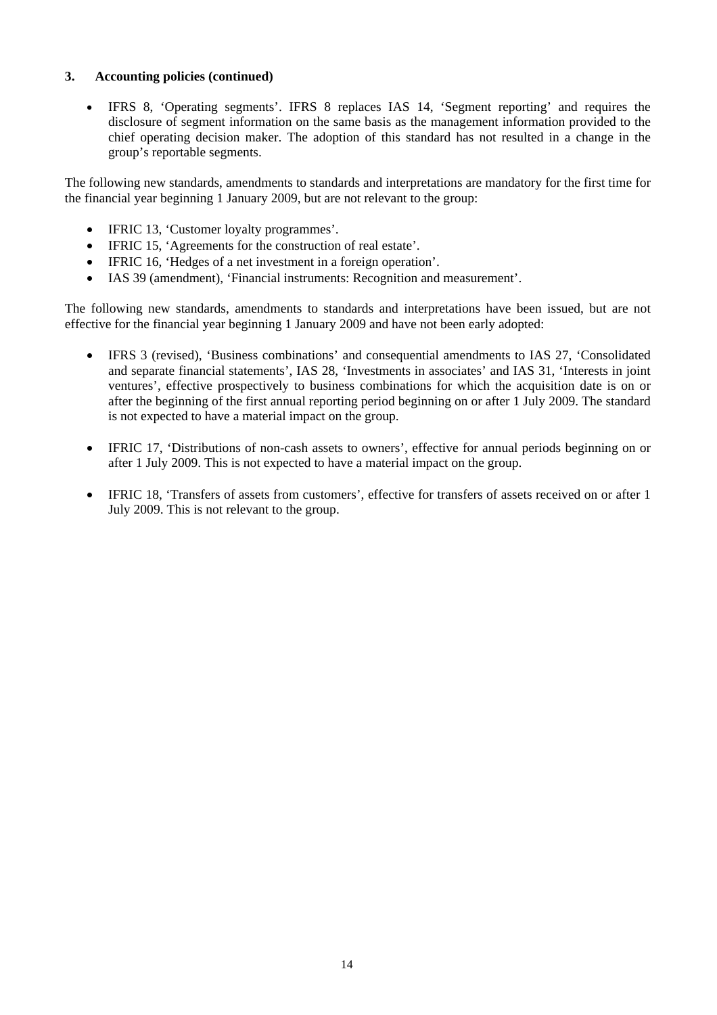# **3. Accounting policies (continued)**

• IFRS 8, 'Operating segments'. IFRS 8 replaces IAS 14, 'Segment reporting' and requires the disclosure of segment information on the same basis as the management information provided to the chief operating decision maker. The adoption of this standard has not resulted in a change in the group's reportable segments.

The following new standards, amendments to standards and interpretations are mandatory for the first time for the financial year beginning 1 January 2009, but are not relevant to the group:

- IFRIC 13, 'Customer loyalty programmes'.
- IFRIC 15, 'Agreements for the construction of real estate'.
- IFRIC 16, 'Hedges of a net investment in a foreign operation'.
- IAS 39 (amendment), 'Financial instruments: Recognition and measurement'.

The following new standards, amendments to standards and interpretations have been issued, but are not effective for the financial year beginning 1 January 2009 and have not been early adopted:

- IFRS 3 (revised), 'Business combinations' and consequential amendments to IAS 27, 'Consolidated and separate financial statements', IAS 28, 'Investments in associates' and IAS 31, 'Interests in joint ventures', effective prospectively to business combinations for which the acquisition date is on or after the beginning of the first annual reporting period beginning on or after 1 July 2009. The standard is not expected to have a material impact on the group.
- IFRIC 17, 'Distributions of non-cash assets to owners', effective for annual periods beginning on or after 1 July 2009. This is not expected to have a material impact on the group.
- IFRIC 18, 'Transfers of assets from customers', effective for transfers of assets received on or after 1 July 2009. This is not relevant to the group.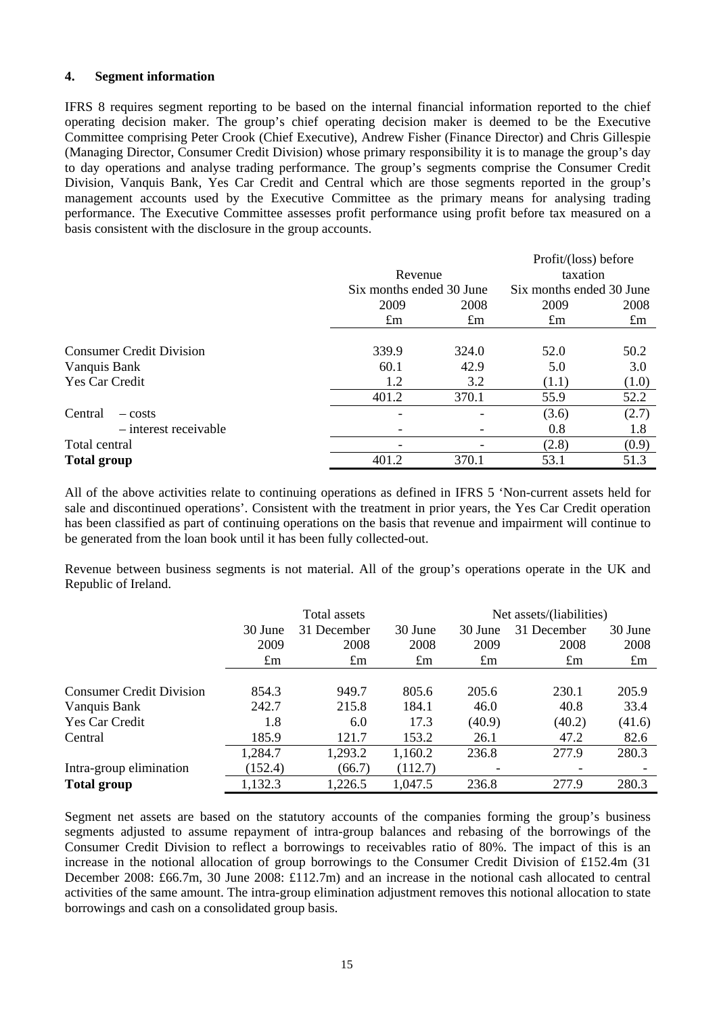#### **4. Segment information**

IFRS 8 requires segment reporting to be based on the internal financial information reported to the chief operating decision maker. The group's chief operating decision maker is deemed to be the Executive Committee comprising Peter Crook (Chief Executive), Andrew Fisher (Finance Director) and Chris Gillespie (Managing Director, Consumer Credit Division) whose primary responsibility it is to manage the group's day to day operations and analyse trading performance. The group's segments comprise the Consumer Credit Division, Vanquis Bank, Yes Car Credit and Central which are those segments reported in the group's management accounts used by the Executive Committee as the primary means for analysing trading performance. The Executive Committee assesses profit performance using profit before tax measured on a basis consistent with the disclosure in the group accounts.

|                                 |                          |             | Profit/(loss) before                 |             |
|---------------------------------|--------------------------|-------------|--------------------------------------|-------------|
|                                 | Revenue                  |             | taxation<br>Six months ended 30 June |             |
|                                 | Six months ended 30 June |             |                                      |             |
|                                 | 2009                     | 2008        | 2009                                 | 2008        |
|                                 | $\pounds$ m              | $\pounds$ m | $\pounds$ m                          | $\pounds$ m |
|                                 |                          |             |                                      |             |
| <b>Consumer Credit Division</b> | 339.9                    | 324.0       | 52.0                                 | 50.2        |
| Vanquis Bank                    | 60.1                     | 42.9        | 5.0                                  | 3.0         |
| Yes Car Credit                  | 1.2                      | 3.2         | (1.1)                                | (1.0)       |
|                                 | 401.2                    | 370.1       | 55.9                                 | 52.2        |
| Central<br>$-costs$             |                          |             | (3.6)                                | (2.7)       |
| $-$ interest receivable         |                          |             | 0.8                                  | 1.8         |
| Total central                   |                          |             | (2.8)                                | (0.9)       |
| <b>Total group</b>              | 401.2                    | 370.1       | 53.1                                 | 51.3        |

All of the above activities relate to continuing operations as defined in IFRS 5 'Non-current assets held for sale and discontinued operations'. Consistent with the treatment in prior years, the Yes Car Credit operation has been classified as part of continuing operations on the basis that revenue and impairment will continue to be generated from the loan book until it has been fully collected-out.

Revenue between business segments is not material. All of the group's operations operate in the UK and Republic of Ireland.

|                                 | Total assets |                        |             |             | Net assets/(liabilities) |             |  |  |
|---------------------------------|--------------|------------------------|-------------|-------------|--------------------------|-------------|--|--|
|                                 | 30 June      | 30 June<br>31 December |             | 30 June     | 31 December              | 30 June     |  |  |
|                                 | 2009         | 2008                   | 2008        | 2009        | 2008                     | 2008        |  |  |
|                                 | $\pounds$ m  | $\pounds$ m            | $\pounds$ m | $\pounds$ m | $\pounds$ m              | $\pounds$ m |  |  |
|                                 |              |                        |             |             |                          |             |  |  |
| <b>Consumer Credit Division</b> | 854.3        | 949.7                  | 805.6       | 205.6       | 230.1                    | 205.9       |  |  |
| Vanquis Bank                    | 242.7        | 215.8                  | 184.1       | 46.0        | 40.8                     | 33.4        |  |  |
| Yes Car Credit                  | 1.8          | 6.0                    | 17.3        | (40.9)      | (40.2)                   | (41.6)      |  |  |
| Central                         | 185.9        | 121.7                  | 153.2       | 26.1        | 47.2                     | 82.6        |  |  |
|                                 | 1,284.7      | 1,293.2                | 1,160.2     | 236.8       | 277.9                    | 280.3       |  |  |
| Intra-group elimination         | (152.4)      | (66.7)                 | (112.7)     |             |                          |             |  |  |
| <b>Total group</b>              | 1,132.3      | 1,226.5                | 1,047.5     | 236.8       | 277.9                    | 280.3       |  |  |

Segment net assets are based on the statutory accounts of the companies forming the group's business segments adjusted to assume repayment of intra-group balances and rebasing of the borrowings of the Consumer Credit Division to reflect a borrowings to receivables ratio of 80%. The impact of this is an increase in the notional allocation of group borrowings to the Consumer Credit Division of £152.4m (31 December 2008: £66.7m, 30 June 2008: £112.7m) and an increase in the notional cash allocated to central activities of the same amount. The intra-group elimination adjustment removes this notional allocation to state borrowings and cash on a consolidated group basis.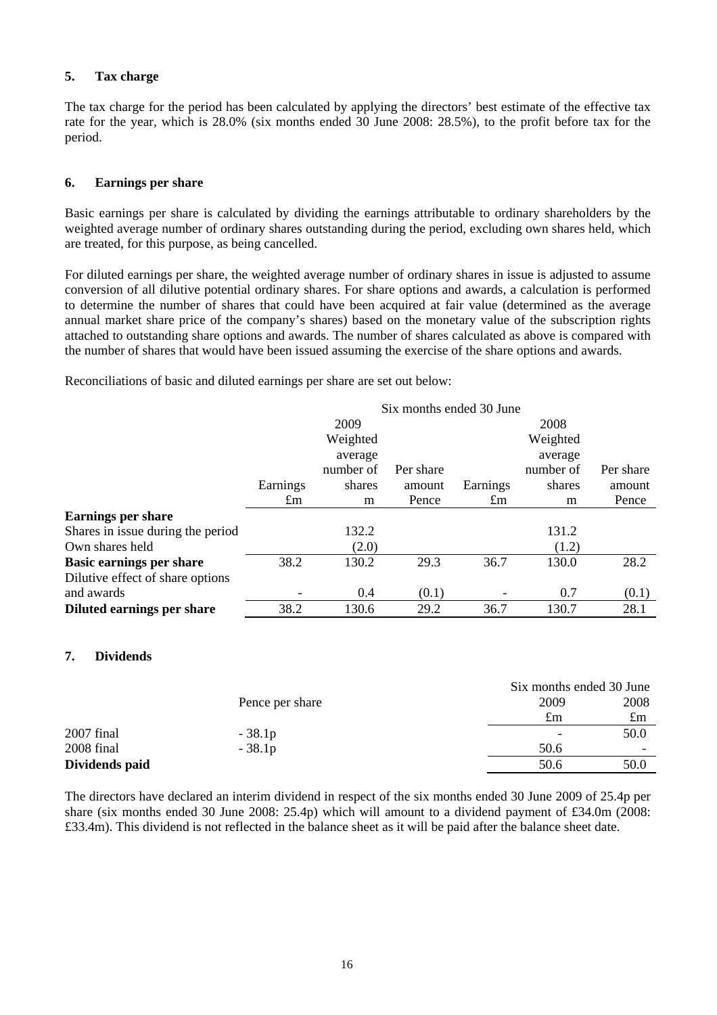# **5. Tax charge**

The tax charge for the period has been calculated by applying the directors' best estimate of the effective tax rate for the year, which is 28.0% (six months ended 30 June 2008: 28.5%), to the profit before tax for the period.

# **6. Earnings per share**

Basic earnings per share is calculated by dividing the earnings attributable to ordinary shareholders by the weighted average number of ordinary shares outstanding during the period, excluding own shares held, which are treated, for this purpose, as being cancelled.

For diluted earnings per share, the weighted average number of ordinary shares in issue is adjusted to assume conversion of all dilutive potential ordinary shares. For share options and awards, a calculation is performed to determine the number of shares that could have been acquired at fair value (determined as the average annual market share price of the company's shares) based on the monetary value of the subscription rights attached to outstanding share options and awards. The number of shares calculated as above is compared with the number of shares that would have been issued assuming the exercise of the share options and awards.

Reconciliations of basic and diluted earnings per share are set out below:

|                                   | Six months ended 30 June |           |           |             |           |           |
|-----------------------------------|--------------------------|-----------|-----------|-------------|-----------|-----------|
|                                   |                          | 2009      |           |             | 2008      |           |
|                                   |                          | Weighted  |           |             | Weighted  |           |
|                                   |                          | average   |           |             | average   |           |
|                                   |                          | number of | Per share |             | number of | Per share |
|                                   | Earnings                 | shares    | amount    | Earnings    | shares    | amount    |
|                                   | $\pounds$ m              | m         | Pence     | $\pounds$ m | m         | Pence     |
| <b>Earnings per share</b>         |                          |           |           |             |           |           |
| Shares in issue during the period |                          | 132.2     |           |             | 131.2     |           |
| Own shares held                   |                          | (2.0)     |           |             | (1.2)     |           |
| <b>Basic earnings per share</b>   | 38.2                     | 130.2     | 29.3      | 36.7        | 130.0     | 28.2      |
| Dilutive effect of share options  |                          |           |           |             |           |           |
| and awards                        |                          | 0.4       | (0.1)     |             | 0.7       | (0.1)     |
| Diluted earnings per share        | 38.2                     | 130.6     | 29.2      | 36.7        | 130.7     | 28.1      |

# **7. Dividends**

|                |                 | Six months ended 30 June         |
|----------------|-----------------|----------------------------------|
|                | Pence per share | 2008<br>2009                     |
|                |                 | £m<br>£m                         |
| 2007 final     | $-38.1p$        | 50.0<br>$\overline{\phantom{a}}$ |
| 2008 final     | $-38.1p$        | 50.6<br>$\overline{\phantom{0}}$ |
| Dividends paid |                 | 50.6<br>50.0                     |

The directors have declared an interim dividend in respect of the six months ended 30 June 2009 of 25.4p per share (six months ended 30 June 2008: 25.4p) which will amount to a dividend payment of £34.0m (2008: £33.4m). This dividend is not reflected in the balance sheet as it will be paid after the balance sheet date.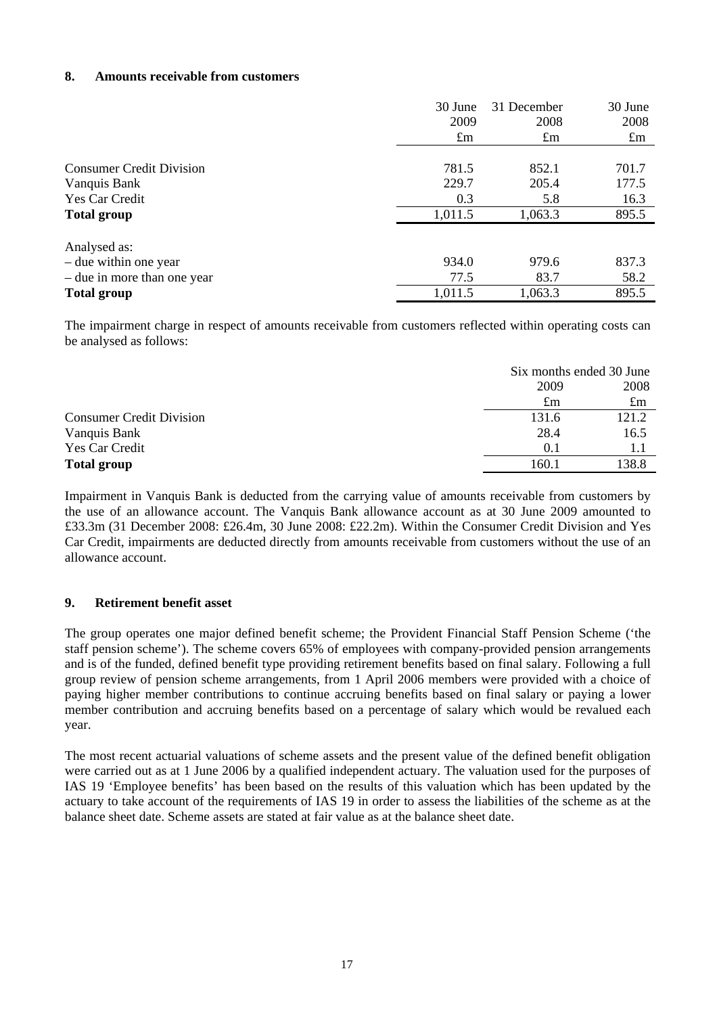# **8. Amounts receivable from customers**

|                                 | 30 June     | 31 December | 30 June     |
|---------------------------------|-------------|-------------|-------------|
|                                 | 2009        | 2008        | 2008        |
|                                 | $\pounds$ m | $\pounds$ m | $\pounds$ m |
|                                 |             |             |             |
| <b>Consumer Credit Division</b> | 781.5       | 852.1       | 701.7       |
| Vanquis Bank                    | 229.7       | 205.4       | 177.5       |
| Yes Car Credit                  | 0.3         | 5.8         | 16.3        |
| <b>Total group</b>              | 1,011.5     | 1,063.3     | 895.5       |
| Analysed as:                    |             |             |             |
| – due within one year           | 934.0       | 979.6       | 837.3       |
| – due in more than one year     | 77.5        | 83.7        | 58.2        |
| <b>Total group</b>              | 1,011.5     | 1,063.3     | 895.5       |

The impairment charge in respect of amounts receivable from customers reflected within operating costs can be analysed as follows:

|                                 |             | Six months ended 30 June |  |
|---------------------------------|-------------|--------------------------|--|
|                                 | 2009        | 2008                     |  |
|                                 | $\pounds$ m | $\pounds$ m              |  |
| <b>Consumer Credit Division</b> | 131.6       | 121.2                    |  |
| Vanquis Bank                    | 28.4        | 16.5                     |  |
| Yes Car Credit                  | 0.1         |                          |  |
| <b>Total group</b>              | 160.1       | 138.8                    |  |

Impairment in Vanquis Bank is deducted from the carrying value of amounts receivable from customers by the use of an allowance account. The Vanquis Bank allowance account as at 30 June 2009 amounted to £33.3m (31 December 2008: £26.4m, 30 June 2008: £22.2m). Within the Consumer Credit Division and Yes Car Credit, impairments are deducted directly from amounts receivable from customers without the use of an allowance account.

# **9. Retirement benefit asset**

The group operates one major defined benefit scheme; the Provident Financial Staff Pension Scheme ('the staff pension scheme'). The scheme covers 65% of employees with company-provided pension arrangements and is of the funded, defined benefit type providing retirement benefits based on final salary. Following a full group review of pension scheme arrangements, from 1 April 2006 members were provided with a choice of paying higher member contributions to continue accruing benefits based on final salary or paying a lower member contribution and accruing benefits based on a percentage of salary which would be revalued each year.

The most recent actuarial valuations of scheme assets and the present value of the defined benefit obligation were carried out as at 1 June 2006 by a qualified independent actuary. The valuation used for the purposes of IAS 19 'Employee benefits' has been based on the results of this valuation which has been updated by the actuary to take account of the requirements of IAS 19 in order to assess the liabilities of the scheme as at the balance sheet date. Scheme assets are stated at fair value as at the balance sheet date.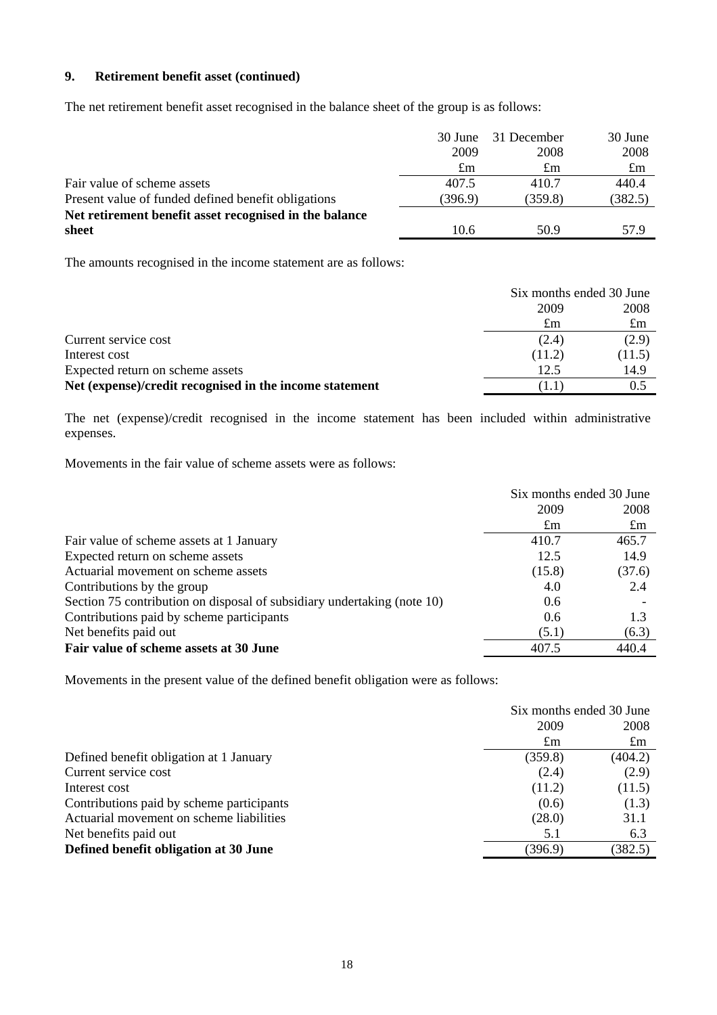# **9. Retirement benefit asset (continued)**

The net retirement benefit asset recognised in the balance sheet of the group is as follows:

|                                                        | 30 June     | 31 December | 30 June     |
|--------------------------------------------------------|-------------|-------------|-------------|
|                                                        | 2009        | 2008        | 2008        |
|                                                        | $\pounds$ m | $\pounds$ m | $\pounds$ m |
| Fair value of scheme assets                            | 407.5       | 410.7       | 440.4       |
| Present value of funded defined benefit obligations    | (396.9)     | (359.8)     | (382.5)     |
| Net retirement benefit asset recognised in the balance |             |             |             |
| sheet                                                  | 10.6        | 50.9        | 57.9        |

The amounts recognised in the income statement are as follows:

|                                                         | Six months ended 30 June |             |
|---------------------------------------------------------|--------------------------|-------------|
|                                                         | 2009                     | 2008        |
|                                                         | $\pounds$ m              | $\pounds$ m |
| Current service cost                                    | (2.4)                    | (2.9)       |
| Interest cost                                           | (11.2)                   | (11.5)      |
| Expected return on scheme assets                        | 12.5                     | 14.9        |
| Net (expense)/credit recognised in the income statement | 1.1                      | (0.5)       |

The net (expense)/credit recognised in the income statement has been included within administrative expenses.

Movements in the fair value of scheme assets were as follows:

|                                                                         | Six months ended 30 June |             |
|-------------------------------------------------------------------------|--------------------------|-------------|
|                                                                         | 2009                     | 2008        |
|                                                                         | $\pounds$ m              | $\pounds$ m |
| Fair value of scheme assets at 1 January                                | 410.7                    | 465.7       |
| Expected return on scheme assets                                        | 12.5                     | 14.9        |
| Actuarial movement on scheme assets                                     | (15.8)                   | (37.6)      |
| Contributions by the group                                              | 4.0                      | 2.4         |
| Section 75 contribution on disposal of subsidiary undertaking (note 10) | 0.6                      |             |
| Contributions paid by scheme participants                               | 0.6                      | 1.3         |
| Net benefits paid out                                                   | (5.1)                    | (6.3)       |
| Fair value of scheme assets at 30 June                                  | 407.5                    | 440.4       |

Movements in the present value of the defined benefit obligation were as follows:

|                                           |             | Six months ended 30 June |  |
|-------------------------------------------|-------------|--------------------------|--|
|                                           | 2009        | 2008                     |  |
|                                           | $\pounds$ m | $\pounds$ m              |  |
| Defined benefit obligation at 1 January   | (359.8)     | (404.2)                  |  |
| Current service cost                      | (2.4)       | (2.9)                    |  |
| Interest cost                             | (11.2)      | (11.5)                   |  |
| Contributions paid by scheme participants | (0.6)       | (1.3)                    |  |
| Actuarial movement on scheme liabilities  | (28.0)      | 31.1                     |  |
| Net benefits paid out                     | 5.1         | 6.3                      |  |
| Defined benefit obligation at 30 June     | (396.9)     | (382.5)                  |  |
|                                           |             |                          |  |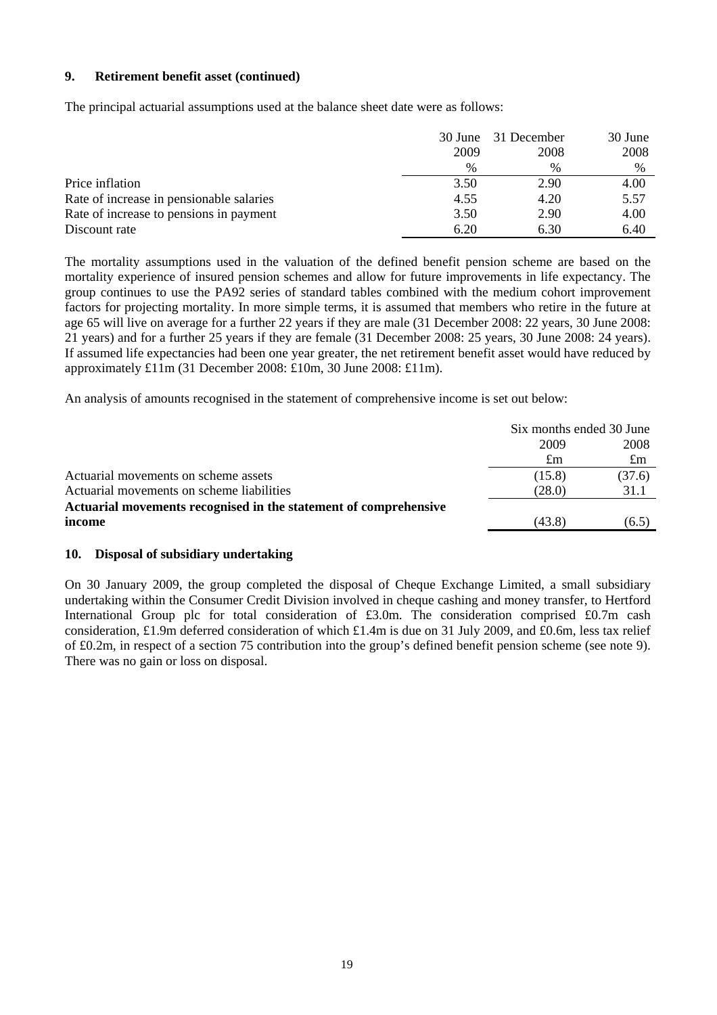# **9. Retirement benefit asset (continued)**

The principal actuarial assumptions used at the balance sheet date were as follows:

|                                          |      | 30 June 31 December | 30 June |
|------------------------------------------|------|---------------------|---------|
|                                          | 2009 | 2008                | 2008    |
|                                          | $\%$ | $\%$                | $\%$    |
| Price inflation                          | 3.50 | 2.90                | 4.00    |
| Rate of increase in pensionable salaries | 4.55 | 4.20                | 5.57    |
| Rate of increase to pensions in payment  | 3.50 | 2.90                | 4.00    |
| Discount rate                            | 6.20 | 6.30                | 6.40    |

The mortality assumptions used in the valuation of the defined benefit pension scheme are based on the mortality experience of insured pension schemes and allow for future improvements in life expectancy. The group continues to use the PA92 series of standard tables combined with the medium cohort improvement factors for projecting mortality. In more simple terms, it is assumed that members who retire in the future at age 65 will live on average for a further 22 years if they are male (31 December 2008: 22 years, 30 June 2008: 21 years) and for a further 25 years if they are female (31 December 2008: 25 years, 30 June 2008: 24 years). If assumed life expectancies had been one year greater, the net retirement benefit asset would have reduced by approximately £11m (31 December 2008: £10m, 30 June 2008: £11m).

An analysis of amounts recognised in the statement of comprehensive income is set out below:

|                                                                  | Six months ended 30 June |             |
|------------------------------------------------------------------|--------------------------|-------------|
|                                                                  | 2009                     | 2008        |
|                                                                  | £m                       | $\pounds$ m |
| Actuarial movements on scheme assets                             | (15.8)                   | (37.6)      |
| Actuarial movements on scheme liabilities                        | (28.0)                   | 31.1        |
| Actuarial movements recognised in the statement of comprehensive |                          |             |
| income                                                           | (43.8)                   | (6.5)       |

# **10. Disposal of subsidiary undertaking**

On 30 January 2009, the group completed the disposal of Cheque Exchange Limited, a small subsidiary undertaking within the Consumer Credit Division involved in cheque cashing and money transfer, to Hertford International Group plc for total consideration of £3.0m. The consideration comprised £0.7m cash consideration, £1.9m deferred consideration of which £1.4m is due on 31 July 2009, and £0.6m, less tax relief of £0.2m, in respect of a section 75 contribution into the group's defined benefit pension scheme (see note 9). There was no gain or loss on disposal.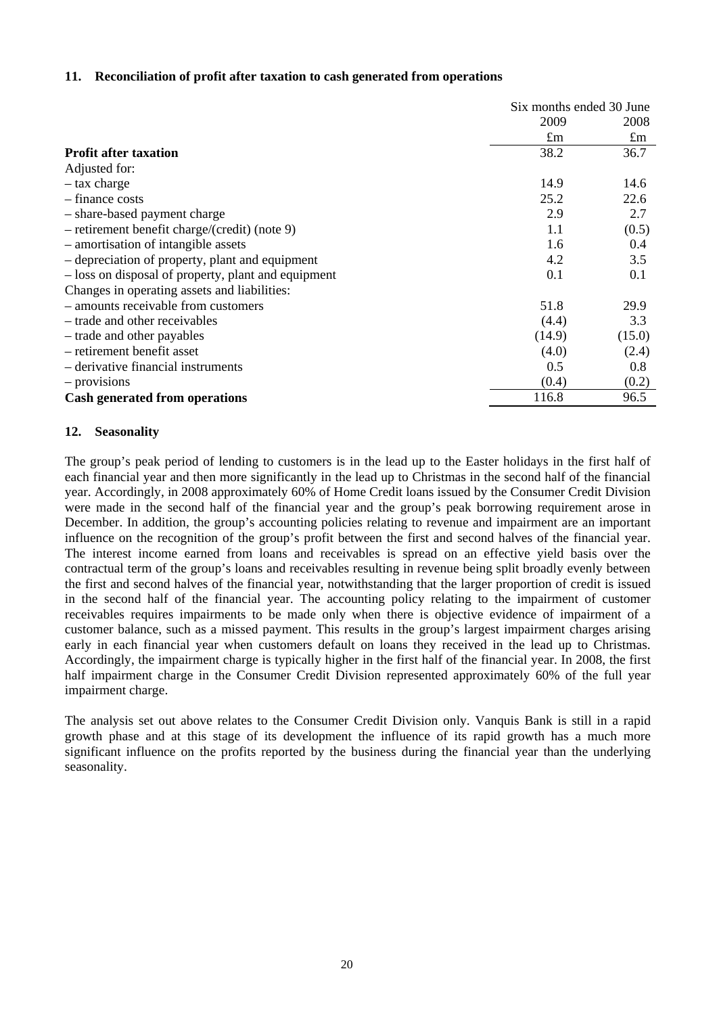# **11. Reconciliation of profit after taxation to cash generated from operations**

|                                                     | Six months ended 30 June |             |
|-----------------------------------------------------|--------------------------|-------------|
|                                                     | 2009                     | 2008        |
|                                                     | $\pounds$ m              | $\pounds$ m |
| <b>Profit after taxation</b>                        | 38.2                     | 36.7        |
| Adjusted for:                                       |                          |             |
| – tax charge                                        | 14.9                     | 14.6        |
| - finance costs                                     | 25.2                     | 22.6        |
| - share-based payment charge                        | 2.9                      | 2.7         |
| $-$ retirement benefit charge/(credit) (note 9)     | 1.1                      | (0.5)       |
| - amortisation of intangible assets                 | 1.6                      | 0.4         |
| - depreciation of property, plant and equipment     | 4.2                      | 3.5         |
| - loss on disposal of property, plant and equipment | 0.1                      | 0.1         |
| Changes in operating assets and liabilities:        |                          |             |
| - amounts receivable from customers                 | 51.8                     | 29.9        |
| - trade and other receivables                       | (4.4)                    | 3.3         |
| - trade and other payables                          | (14.9)                   | (15.0)      |
| - retirement benefit asset                          | (4.0)                    | (2.4)       |
| - derivative financial instruments                  | 0.5                      | 0.8         |
| - provisions                                        | (0.4)                    | (0.2)       |
| <b>Cash generated from operations</b>               | 116.8                    | 96.5        |

#### **12. Seasonality**

The group's peak period of lending to customers is in the lead up to the Easter holidays in the first half of each financial year and then more significantly in the lead up to Christmas in the second half of the financial year. Accordingly, in 2008 approximately 60% of Home Credit loans issued by the Consumer Credit Division were made in the second half of the financial year and the group's peak borrowing requirement arose in December. In addition, the group's accounting policies relating to revenue and impairment are an important influence on the recognition of the group's profit between the first and second halves of the financial year. The interest income earned from loans and receivables is spread on an effective yield basis over the contractual term of the group's loans and receivables resulting in revenue being split broadly evenly between the first and second halves of the financial year, notwithstanding that the larger proportion of credit is issued in the second half of the financial year. The accounting policy relating to the impairment of customer receivables requires impairments to be made only when there is objective evidence of impairment of a customer balance, such as a missed payment. This results in the group's largest impairment charges arising early in each financial year when customers default on loans they received in the lead up to Christmas. Accordingly, the impairment charge is typically higher in the first half of the financial year. In 2008, the first half impairment charge in the Consumer Credit Division represented approximately 60% of the full year impairment charge.

The analysis set out above relates to the Consumer Credit Division only. Vanquis Bank is still in a rapid growth phase and at this stage of its development the influence of its rapid growth has a much more significant influence on the profits reported by the business during the financial year than the underlying seasonality.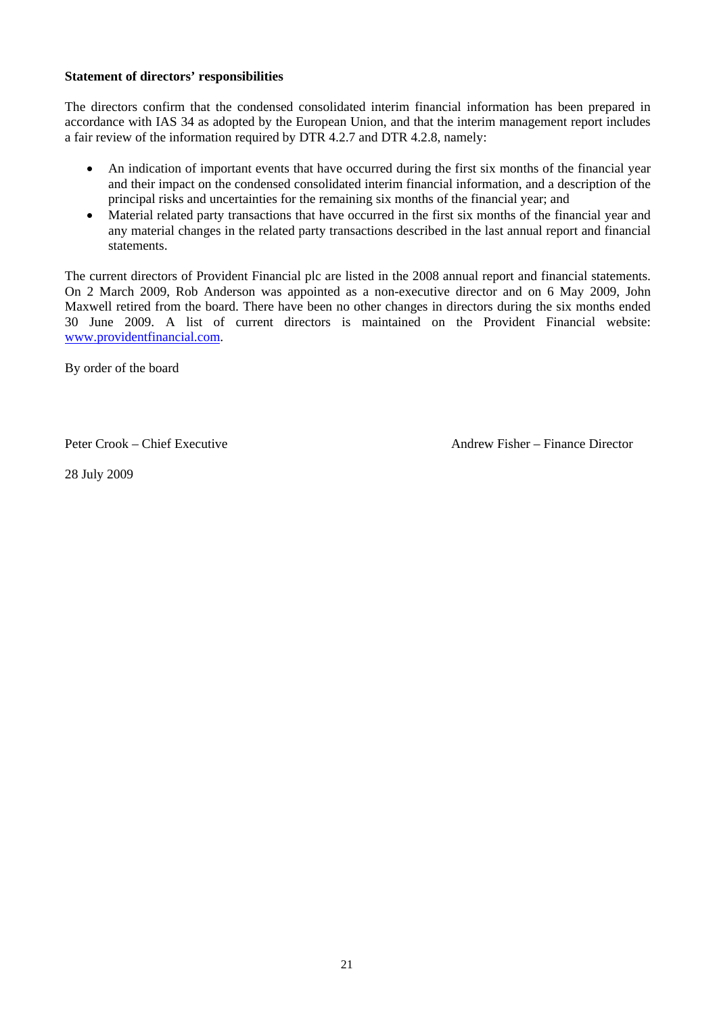# **Statement of directors' responsibilities**

The directors confirm that the condensed consolidated interim financial information has been prepared in accordance with IAS 34 as adopted by the European Union, and that the interim management report includes a fair review of the information required by DTR 4.2.7 and DTR 4.2.8, namely:

- An indication of important events that have occurred during the first six months of the financial year and their impact on the condensed consolidated interim financial information, and a description of the principal risks and uncertainties for the remaining six months of the financial year; and
- Material related party transactions that have occurred in the first six months of the financial year and any material changes in the related party transactions described in the last annual report and financial statements.

The current directors of Provident Financial plc are listed in the 2008 annual report and financial statements. On 2 March 2009, Rob Anderson was appointed as a non-executive director and on 6 May 2009, John Maxwell retired from the board. There have been no other changes in directors during the six months ended 30 June 2009. A list of current directors is maintained on the Provident Financial website: www.providentfinancial.com.

By order of the board

Peter Crook – Chief Executive Andrew Fisher – Finance Director

28 July 2009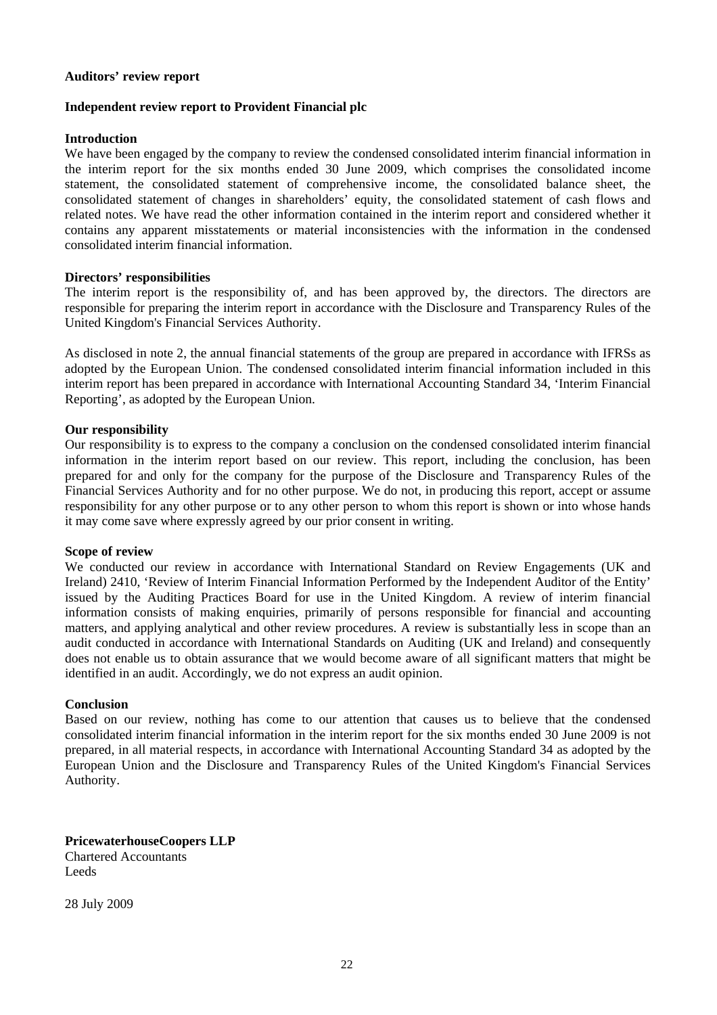#### **Auditors' review report**

#### **Independent review report to Provident Financial plc**

#### **Introduction**

We have been engaged by the company to review the condensed consolidated interim financial information in the interim report for the six months ended 30 June 2009, which comprises the consolidated income statement, the consolidated statement of comprehensive income, the consolidated balance sheet, the consolidated statement of changes in shareholders' equity, the consolidated statement of cash flows and related notes. We have read the other information contained in the interim report and considered whether it contains any apparent misstatements or material inconsistencies with the information in the condensed consolidated interim financial information.

#### **Directors' responsibilities**

The interim report is the responsibility of, and has been approved by, the directors. The directors are responsible for preparing the interim report in accordance with the Disclosure and Transparency Rules of the United Kingdom's Financial Services Authority.

As disclosed in note 2, the annual financial statements of the group are prepared in accordance with IFRSs as adopted by the European Union. The condensed consolidated interim financial information included in this interim report has been prepared in accordance with International Accounting Standard 34, 'Interim Financial Reporting', as adopted by the European Union.

#### **Our responsibility**

Our responsibility is to express to the company a conclusion on the condensed consolidated interim financial information in the interim report based on our review. This report, including the conclusion, has been prepared for and only for the company for the purpose of the Disclosure and Transparency Rules of the Financial Services Authority and for no other purpose. We do not, in producing this report, accept or assume responsibility for any other purpose or to any other person to whom this report is shown or into whose hands it may come save where expressly agreed by our prior consent in writing.

#### **Scope of review**

We conducted our review in accordance with International Standard on Review Engagements (UK and Ireland) 2410, 'Review of Interim Financial Information Performed by the Independent Auditor of the Entity' issued by the Auditing Practices Board for use in the United Kingdom. A review of interim financial information consists of making enquiries, primarily of persons responsible for financial and accounting matters, and applying analytical and other review procedures. A review is substantially less in scope than an audit conducted in accordance with International Standards on Auditing (UK and Ireland) and consequently does not enable us to obtain assurance that we would become aware of all significant matters that might be identified in an audit. Accordingly, we do not express an audit opinion.

#### **Conclusion**

Based on our review, nothing has come to our attention that causes us to believe that the condensed consolidated interim financial information in the interim report for the six months ended 30 June 2009 is not prepared, in all material respects, in accordance with International Accounting Standard 34 as adopted by the European Union and the Disclosure and Transparency Rules of the United Kingdom's Financial Services Authority.

**PricewaterhouseCoopers LLP**  Chartered Accountants Leeds

28 July 2009